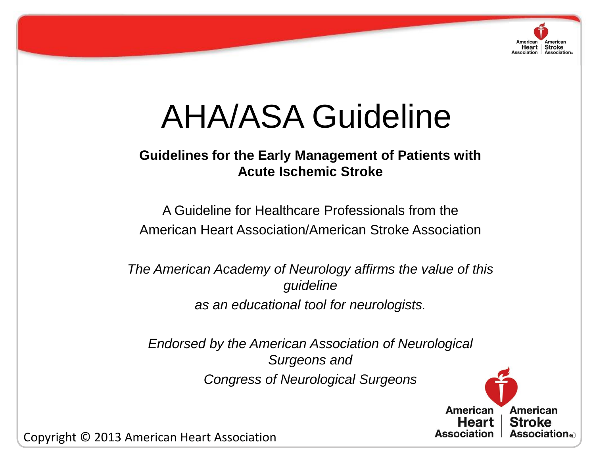

# AHA/ASA Guideline

#### **Guidelines for the Early Management of Patients with Acute Ischemic Stroke**

American Heart Association/American Stroke Association A Guideline for Healthcare Professionals from the

> *The American Academy of Neurology affirms the value of this guideline as an educational tool for neurologists.*

*Endorsed by the American Association of Neurological Surgeons and Congress of Neurological Surgeons*



Copyright © 2013 American Heart Association **Constantion Constantion** Association 1 Association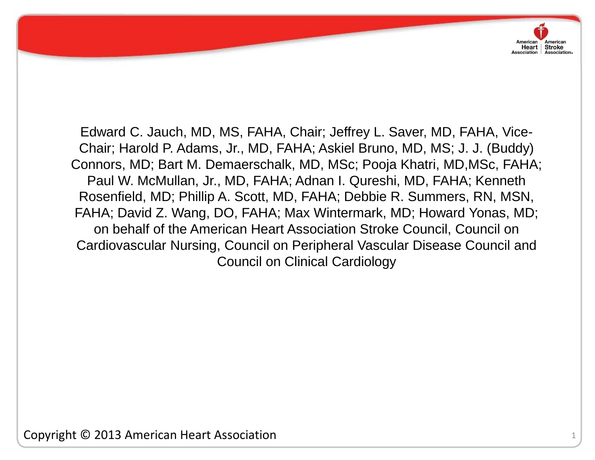on behalf of the American Heart Association Stroke Council, Council on Edward C. Jauch, MD, MS, FAHA, Chair; Jeffrey L. Saver, MD, FAHA, Vice-Chair; Harold P. Adams, Jr., MD, FAHA; Askiel Bruno, MD, MS; J. J. (Buddy) Connors, MD; Bart M. Demaerschalk, MD, MSc; Pooja Khatri, MD,MSc, FAHA; Paul W. McMullan, Jr., MD, FAHA; Adnan I. Qureshi, MD, FAHA; Kenneth Rosenfield, MD; Phillip A. Scott, MD, FAHA; Debbie R. Summers, RN, MSN, FAHA; David Z. Wang, DO, FAHA; Max Wintermark, MD; Howard Yonas, MD; Cardiovascular Nursing, Council on Peripheral Vascular Disease Council and Council on Clinical Cardiology

Copyright © 2013 American Heart Association

American

Heart | Stroke Association Association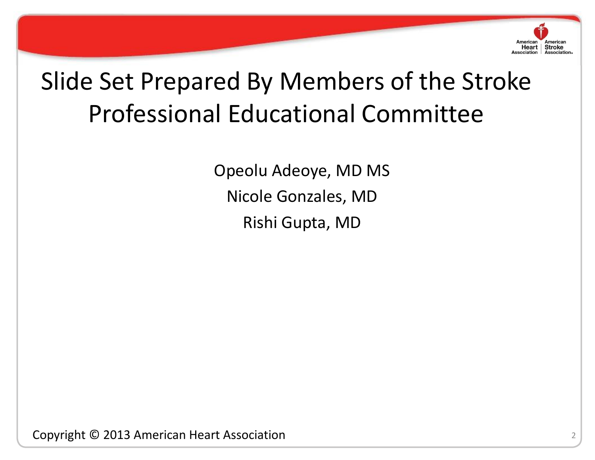

# Slide Set Prepared By Members of the Stroke Professional Educational Committee

Copyright © 2013 American Heart Association Opeolu Adeoye, MD MS Nicole Gonzales, MD Rishi Gupta, MD

Copyright © 2013 American Heart Association <sup>2</sup>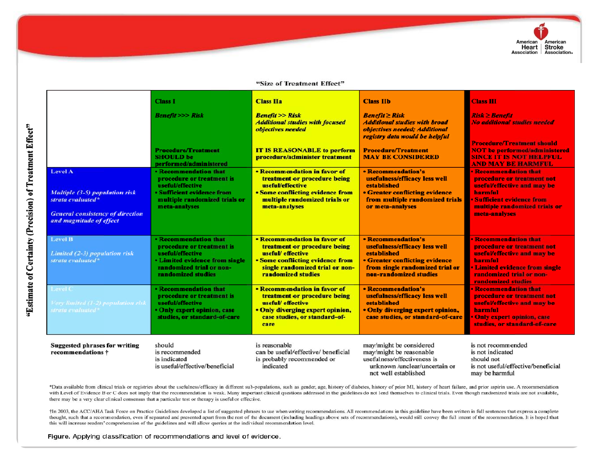

#### "Size of Treatment Effect"

|                                                         |                                                                                                                                                    | <b>Class I</b><br><b>Benefit &gt;&gt;&gt; Risk</b><br><b>Procedure/Treatment</b><br><b>SHOULD be</b>                                                                                    | <b>Class IIa</b><br><b>Benefit &gt;&gt; Risk</b><br><b>Additional studies with focused</b><br>objectives needed<br><b>IT IS REASONABLE to perform</b><br>procedure/administer treatment | <b>Class IIb</b><br><b>Benefit <math>\geq</math> Risk</b><br><b>Additional studies with broad</b><br>objectives needed; Additional<br>registry data would be helpful<br><b>Procedure/Treatment</b><br><b>MAY BE CONSIDERED</b> | <b>Class III</b><br>$Risk \geq Benefit$<br><b>No additional studies needed</b><br><b>Procedure/Treatment should</b><br><b>NOT</b> be performed/administered<br><b>SINCE IT IS NOT HELPFUL</b>                          |
|---------------------------------------------------------|----------------------------------------------------------------------------------------------------------------------------------------------------|-----------------------------------------------------------------------------------------------------------------------------------------------------------------------------------------|-----------------------------------------------------------------------------------------------------------------------------------------------------------------------------------------|--------------------------------------------------------------------------------------------------------------------------------------------------------------------------------------------------------------------------------|------------------------------------------------------------------------------------------------------------------------------------------------------------------------------------------------------------------------|
| "Estimate of Certainty (Precision) of Treatment Effect" | <b>Level A</b><br><b>Multiple (3-5) population risk</b><br>strata evaluated*<br><b>General consistency of direction</b><br>and magnitude of effect | performed/administered<br><b>• Recommendation that</b><br>procedure or treatment is<br>useful/effective<br>• Sufficient evidence from<br>multiple randomized trials or<br>meta-analyses | • Recommendation in favor of<br>treatment or procedure being<br>useful/effective<br><b>• Some conflicting evidence from</b><br>multiple randomized trials or<br>meta-analyses           | • Recommendation's<br>usefulness/efficacy less well<br>established<br><b>• Greater conflicting evidence</b><br>from multiple randomized trials<br>or meta-analyses                                                             | <b>AND MAY BE HARMFUL</b><br><b>Recommendation that</b><br>procedure or treatment not<br>useful/effective and may be<br>harmful<br><b>• Sufficient evidence from</b><br>multiple randomized trials or<br>meta-analyses |
|                                                         | <b>Level B</b><br>Limited (2-3) population risk<br>strata evaluated*                                                                               | <b>• Recommendation that</b><br>procedure or treatment is<br>useful/effective<br><b>• Limited evidence from single</b><br>randomized trial or non-<br>randomized studies                | • Recommendation in favor of<br>treatment or procedure being<br>useful/ effective<br><b>• Some conflicting evidence from</b><br>single randomized trial or non-<br>randomized studies   | <b>• Recommendation's</b><br>usefulness/efficacy less well<br>established<br><b>• Greater conflicting evidence</b><br>from single randomized trial or<br>non-randomized studies                                                | <b>• Recommendation that</b><br>procedure or treatment not<br>useful/effective and may be<br>harmful<br><b>• Limited evidence from single</b><br>randomized trial or non-<br><b>randomized studies</b>                 |
|                                                         | Level C<br>Very limited (1-2) population risk<br>strata evaluated <sup>®</sup>                                                                     | <b>• Recommendation that</b><br>procedure or treatment is<br><i>useful/effective</i><br>• Only expert opinion, case<br>studies, or standard-of-care                                     | • Recommendation in favor of<br>treatment or procedure being<br>useful/ effective<br>• Only diverging expert opinion,<br>case studies, or standard-of-<br>care                          | • Recommendation's<br>usefulness/efficacy less well<br>established<br>. Only diverging expert opinion,<br>case studies, or standard-of-care                                                                                    | <b>• Recommendation that</b><br>procedure or treatment not<br>useful/effective and may be<br>harmful<br>• Only expert opinion, case<br>studies, or standard-of-care                                                    |
|                                                         | <b>Suggested phrases for writing</b><br>recommendations $\dagger$                                                                                  | should<br>is recommended<br>is indicated<br>is useful/effective/beneficial                                                                                                              | is reasonable<br>can be useful/effective/ beneficial<br>is probably recommended or<br>indicated                                                                                         | may/might be considered<br>may/might be reasonable<br>usefulness/effectiveness is<br>unknown /unclear/uncertain or<br>not well established                                                                                     | is not recommended<br>is not indicated<br>should not<br>is not useful/effective/beneficial<br>may be harmful                                                                                                           |

\*Data available from clinical trials or registries about the usefulness/efficacy in different sub-populations, such as gender, age, history of diabetes, history of prior MI, history of heart failure, and prior aspirin use. with Level of Evidence B or C does not imply that the recommendation is weak. Many important clinical questions addressed in the guidelines do not lend themselves to clinical trials. Even though randomized trials are not a there may be a very clear clinical consensus that a particular test or therapy is useful or effective.

+In 2003, the ACC/AHA Task Force on Practice Guidelines developed a list of suggested phrases to use when writing recommendations. All recommendations in this guideline have been written in full sentences that express a co thought, such that a recommendation, even if separated and presented apart from the rest of the document (including headings above sets of recommendations), would still convey the full intent of the recommendation. It is h this will increase readers' comprehension of the guidelines and will allow queries at the individual recommendation level.

Figure. Applying classification of recommendations and level of evidence.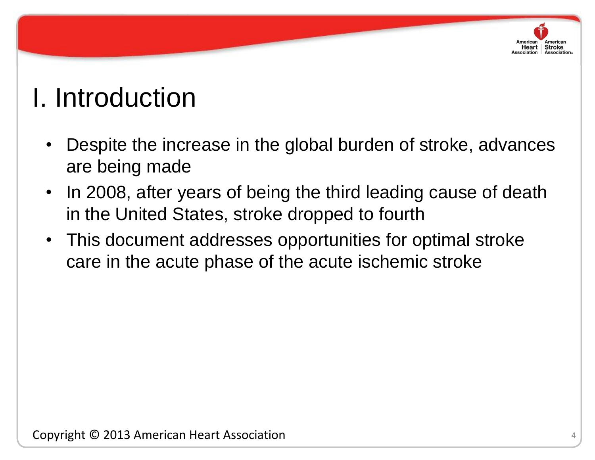# Heart | Stroke

# I. Introduction

- Despite the increase in the global burden of stroke, advances are being made
- In 2008, after years of being the third leading cause of death in the United States, stroke dropped to fourth
- This document addresses opportunities for optimal stroke care in the acute phase of the acute ischemic stroke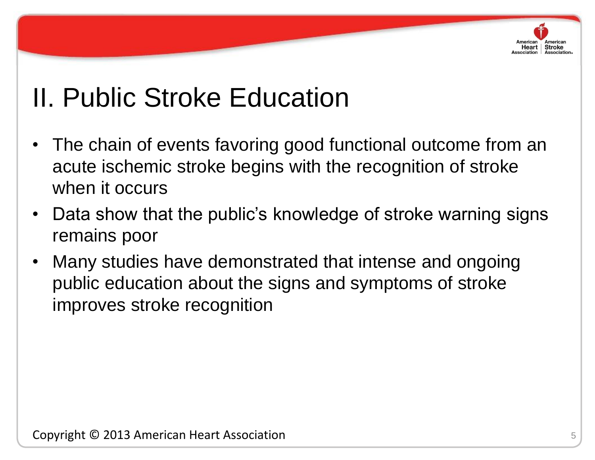

# II. Public Stroke Education

- The chain of events favoring good functional outcome from an acute ischemic stroke begins with the recognition of stroke when it occurs
- remains poor • Data show that the public's knowledge of stroke warning signs
	- Many studies have demonstrated that intense and ongoing public education about the signs and symptoms of stroke improves stroke recognition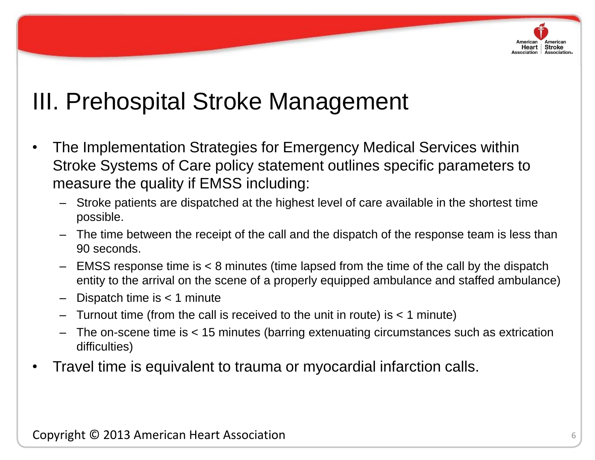

# III. Prehospital Stroke Management

- The Implementation Strategies for Emergency Medical Services within Stroke Systems of Care policy statement outlines specific parameters to measure the quality if EMSS including:
	- Stroke patients are dispatched at the highest level of care available in the shortest time possible.
- The time between the receipt of the call and the dispatch of the response team is less than 90 seconds.
	- EMSS response time is < 8 minutes (time lapsed from the time of the call by the dispatch entity to the arrival on the scene of a properly equipped ambulance and staffed ambulance)
	- Dispatch time is  $<$  1 minute
	- Turnout time (from the call is received to the unit in route) is < 1 minute)
	- The on-scene time is < 15 minutes (barring extenuating circumstances such as extrication difficulties)
	- Travel time is equivalent to trauma or myocardial infarction calls.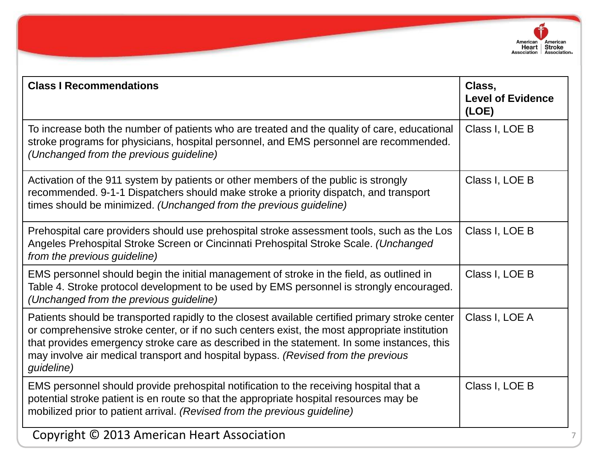

| <b>Class I Recommendations</b>                                                                                                                                                                                                                                                                                                                                                                    | Class,<br><b>Level of Evidence</b><br>(LOE) |
|---------------------------------------------------------------------------------------------------------------------------------------------------------------------------------------------------------------------------------------------------------------------------------------------------------------------------------------------------------------------------------------------------|---------------------------------------------|
| To increase both the number of patients who are treated and the quality of care, educational<br>stroke programs for physicians, hospital personnel, and EMS personnel are recommended.<br>(Unchanged from the previous guideline)                                                                                                                                                                 | Class I, LOE B                              |
| Activation of the 911 system by patients or other members of the public is strongly<br>recommended. 9-1-1 Dispatchers should make stroke a priority dispatch, and transport<br>times should be minimized. (Unchanged from the previous guideline)                                                                                                                                                 | Class I, LOE B                              |
| Prehospital care providers should use prehospital stroke assessment tools, such as the Los<br>Angeles Prehospital Stroke Screen or Cincinnati Prehospital Stroke Scale. (Unchanged<br>from the previous guideline)                                                                                                                                                                                | Class I, LOE B                              |
| EMS personnel should begin the initial management of stroke in the field, as outlined in<br>Table 4. Stroke protocol development to be used by EMS personnel is strongly encouraged.<br>(Unchanged from the previous guideline)                                                                                                                                                                   | Class I, LOE B                              |
| Patients should be transported rapidly to the closest available certified primary stroke center<br>or comprehensive stroke center, or if no such centers exist, the most appropriate institution<br>that provides emergency stroke care as described in the statement. In some instances, this<br>may involve air medical transport and hospital bypass. (Revised from the previous<br>guideline) | Class I, LOE A                              |
| EMS personnel should provide prehospital notification to the receiving hospital that a<br>potential stroke patient is en route so that the appropriate hospital resources may be<br>mobilized prior to patient arrival. (Revised from the previous guideline)                                                                                                                                     | Class I, LOE B                              |
| Copyright © 2013 American Heart Association                                                                                                                                                                                                                                                                                                                                                       | 7                                           |

**Contract Contract Contract Contract Contract Contract Contract Contract Contract Contract Contract Contract Contract Contract Contract Contract Contract Contract Contract Contract Contract Contract Contract Contract Contr**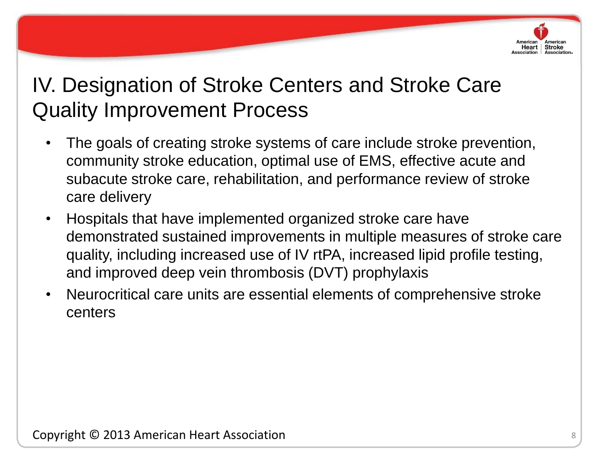

- The goals of creating stroke systems of care include stroke prevention, community stroke education, optimal use of EMS, effective acute and subacute stroke care, rehabilitation, and performance review of stroke care delivery
- demonstrated sustained improvements in multiple measures of stroke care • Hospitals that have implemented organized stroke care have quality, including increased use of IV rtPA, increased lipid profile testing, and improved deep vein thrombosis (DVT) prophylaxis
	- Neurocritical care units are essential elements of comprehensive stroke centers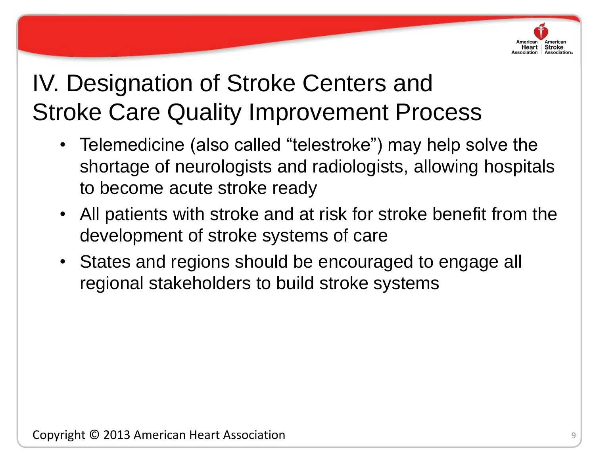

- Telemedicine (also called "telestroke") may help solve the shortage of neurologists and radiologists, allowing hospitals to become acute stroke ready
- development of stroke systems of care • All patients with stroke and at risk for stroke benefit from the
	- States and regions should be encouraged to engage all regional stakeholders to build stroke systems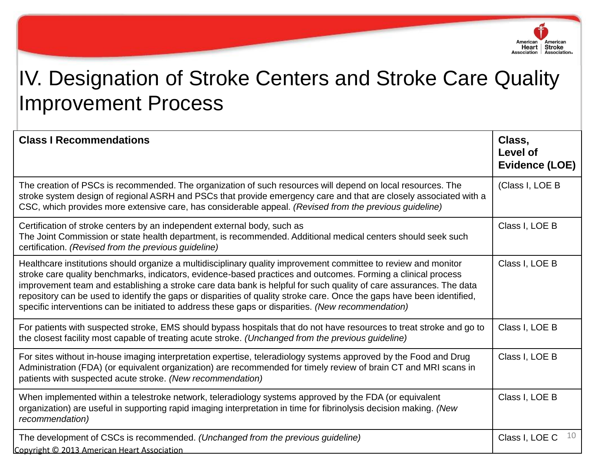

| <b>Class I Recommendations</b>                                                                                                                                                                                                                                                                                                                                                                                                                                                                                                                                                         | Class,<br><b>Level of</b><br><b>Evidence (LOE)</b> |
|----------------------------------------------------------------------------------------------------------------------------------------------------------------------------------------------------------------------------------------------------------------------------------------------------------------------------------------------------------------------------------------------------------------------------------------------------------------------------------------------------------------------------------------------------------------------------------------|----------------------------------------------------|
| The creation of PSCs is recommended. The organization of such resources will depend on local resources. The<br>stroke system design of regional ASRH and PSCs that provide emergency care and that are closely associated with a<br>CSC, which provides more extensive care, has considerable appeal. (Revised from the previous guideline)                                                                                                                                                                                                                                            | (Class I, LOE B                                    |
| Certification of stroke centers by an independent external body, such as<br>The Joint Commission or state health department, is recommended. Additional medical centers should seek such<br>certification. (Revised from the previous guideline)                                                                                                                                                                                                                                                                                                                                       | Class I, LOE B                                     |
| Healthcare institutions should organize a multidisciplinary quality improvement committee to review and monitor<br>stroke care quality benchmarks, indicators, evidence-based practices and outcomes. Forming a clinical process<br>improvement team and establishing a stroke care data bank is helpful for such quality of care assurances. The data<br>repository can be used to identify the gaps or disparities of quality stroke care. Once the gaps have been identified,<br>specific interventions can be initiated to address these gaps or disparities. (New recommendation) | Class I, LOE B                                     |
| For patients with suspected stroke, EMS should bypass hospitals that do not have resources to treat stroke and go to<br>the closest facility most capable of treating acute stroke. (Unchanged from the previous guideline)                                                                                                                                                                                                                                                                                                                                                            | Class I, LOE B                                     |
| For sites without in-house imaging interpretation expertise, teleradiology systems approved by the Food and Drug<br>Administration (FDA) (or equivalent organization) are recommended for timely review of brain CT and MRI scans in<br>patients with suspected acute stroke. (New recommendation)                                                                                                                                                                                                                                                                                     | Class I, LOE B                                     |
| When implemented within a telestroke network, teleradiology systems approved by the FDA (or equivalent<br>organization) are useful in supporting rapid imaging interpretation in time for fibrinolysis decision making. (New<br>recommendation)                                                                                                                                                                                                                                                                                                                                        | Class I, LOE B                                     |
| The development of CSCs is recommended. (Unchanged from the previous guideline)<br>Copyright © 2013 American Heart Association                                                                                                                                                                                                                                                                                                                                                                                                                                                         | 10<br>Class I, LOE C                               |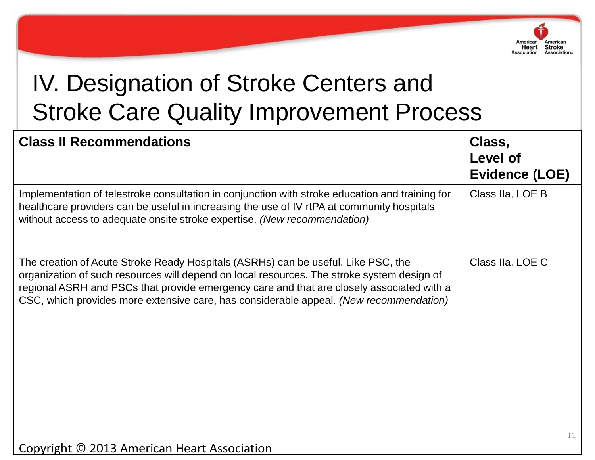

| <b>Class II Recommendations</b>                                                                                                                                                                                                                                                                                                                                        | Class,<br>Level of<br><b>Evidence (LOE)</b> |
|------------------------------------------------------------------------------------------------------------------------------------------------------------------------------------------------------------------------------------------------------------------------------------------------------------------------------------------------------------------------|---------------------------------------------|
| Implementation of telestroke consultation in conjunction with stroke education and training for<br>healthcare providers can be useful in increasing the use of IV rtPA at community hospitals<br>without access to adequate onsite stroke expertise. (New recommendation)                                                                                              | Class IIa, LOE B                            |
| The creation of Acute Stroke Ready Hospitals (ASRHs) can be useful. Like PSC, the<br>organization of such resources will depend on local resources. The stroke system design of<br>regional ASRH and PSCs that provide emergency care and that are closely associated with a<br>CSC, which provides more extensive care, has considerable appeal. (New recommendation) | Class IIa, LOE C<br>11                      |
| Copyright © 2013 American Heart Association                                                                                                                                                                                                                                                                                                                            |                                             |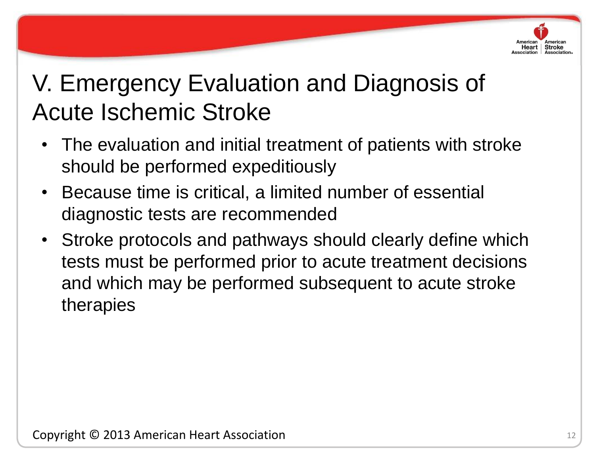

# V. Emergency Evaluation and Diagnosis of Acute Ischemic Stroke

- The evaluation and initial treatment of patients with stroke should be performed expeditiously
- Because time is critical, a limited number of essential diagnostic tests are recommended
- Stroke protocols and pathways should clearly define which tests must be performed prior to acute treatment decisions and which may be performed subsequent to acute stroke therapies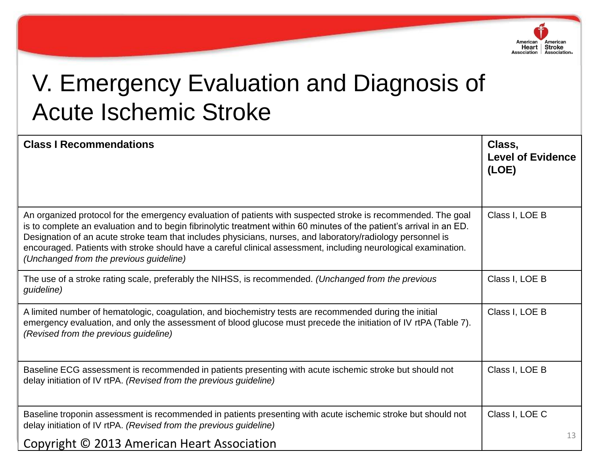

# V. Emergency Evaluation and Diagnosis of Acute Ischemic Stroke

| <b>Class I Recommendations</b>                                                                                                                                                                                                                                                                                                                                                                                                                                                                                      | Class,<br><b>Level of Evidence</b><br>(LOE) |    |
|---------------------------------------------------------------------------------------------------------------------------------------------------------------------------------------------------------------------------------------------------------------------------------------------------------------------------------------------------------------------------------------------------------------------------------------------------------------------------------------------------------------------|---------------------------------------------|----|
| An organized protocol for the emergency evaluation of patients with suspected stroke is recommended. The goal<br>is to complete an evaluation and to begin fibrinolytic treatment within 60 minutes of the patient's arrival in an ED.<br>Designation of an acute stroke team that includes physicians, nurses, and laboratory/radiology personnel is<br>encouraged. Patients with stroke should have a careful clinical assessment, including neurological examination.<br>(Unchanged from the previous guideline) | Class I, LOE B                              |    |
| The use of a stroke rating scale, preferably the NIHSS, is recommended. (Unchanged from the previous<br>guideline)                                                                                                                                                                                                                                                                                                                                                                                                  | Class I, LOE B                              |    |
| A limited number of hematologic, coagulation, and biochemistry tests are recommended during the initial<br>emergency evaluation, and only the assessment of blood glucose must precede the initiation of IV rtPA (Table 7).<br>(Revised from the previous guideline)                                                                                                                                                                                                                                                | Class I, LOE B                              |    |
| Baseline ECG assessment is recommended in patients presenting with acute ischemic stroke but should not<br>delay initiation of IV rtPA. (Revised from the previous guideline)                                                                                                                                                                                                                                                                                                                                       | Class I, LOE B                              |    |
| Baseline troponin assessment is recommended in patients presenting with acute ischemic stroke but should not<br>delay initiation of IV rtPA. (Revised from the previous guideline)                                                                                                                                                                                                                                                                                                                                  | Class I, LOE C                              | 13 |
| Copyright © 2013 American Heart Association                                                                                                                                                                                                                                                                                                                                                                                                                                                                         |                                             |    |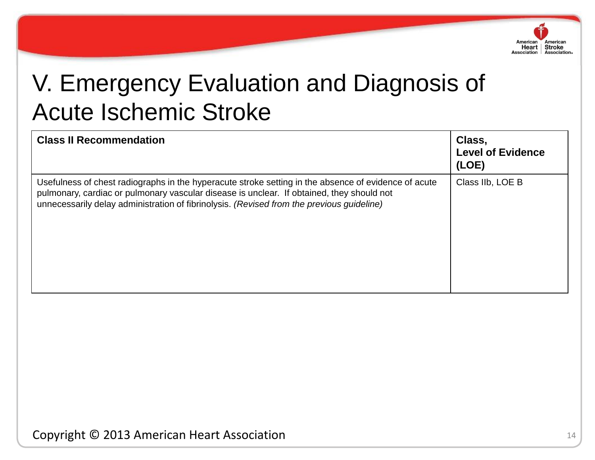

# V. Emergency Evaluation and Diagnosis of Acute Ischemic Stroke

| <b>Class II Recommendation</b>                                                                                                                                                                                                                                                                 | Class,<br><b>Level of Evidence</b><br>(LOE) |
|------------------------------------------------------------------------------------------------------------------------------------------------------------------------------------------------------------------------------------------------------------------------------------------------|---------------------------------------------|
| Usefulness of chest radiographs in the hyperacute stroke setting in the absence of evidence of acute<br>pulmonary, cardiac or pulmonary vascular disease is unclear. If obtained, they should not<br>unnecessarily delay administration of fibrinolysis. (Revised from the previous guideline) | Class IIb, LOE B                            |

Copyright © 2013 American Heart Association 14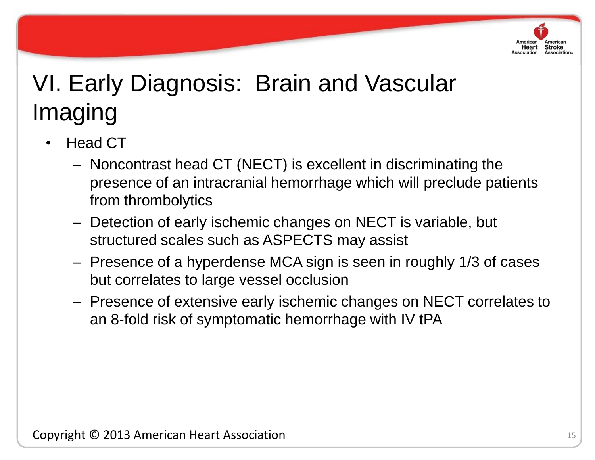

- Head CT
	- Noncontrast head CT (NECT) is excellent in discriminating the presence of an intracranial hemorrhage which will preclude patients from thrombolytics
- Copyright © 2013 American Heart Association – Detection of early ischemic changes on NECT is variable, but structured scales such as ASPECTS may assist
	- Presence of a hyperdense MCA sign is seen in roughly 1/3 of cases but correlates to large vessel occlusion
	- Presence of extensive early ischemic changes on NECT correlates to an 8-fold risk of symptomatic hemorrhage with IV tPA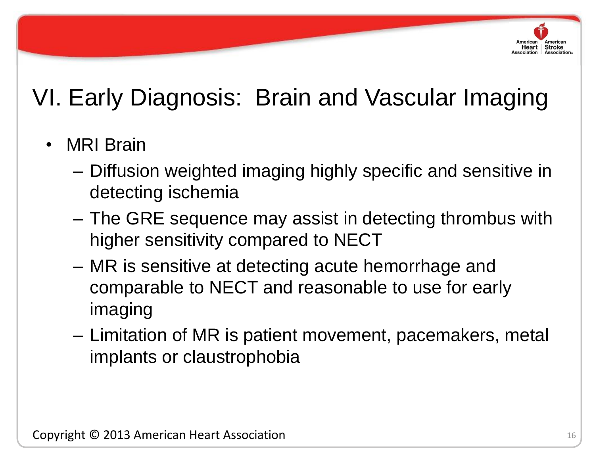

- MRI Brain
	- Diffusion weighted imaging highly specific and sensitive in detecting ischemia
- higher sensitivity compared to NECT – The GRE sequence may assist in detecting thrombus with
	- MR is sensitive at detecting acute hemorrhage and comparable to NECT and reasonable to use for early imaging
	- Limitation of MR is patient movement, pacemakers, metal implants or claustrophobia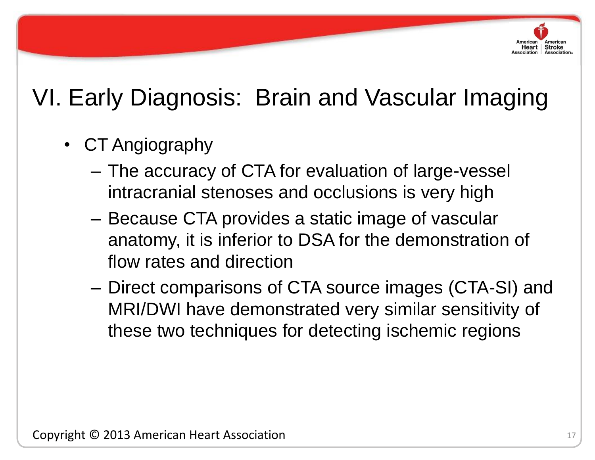

- CT Angiography
	- The accuracy of CTA for evaluation of large-vessel intracranial stenoses and occlusions is very high
- anatomy, it is inferior to DSA for the demonstration of – Because CTA provides a static image of vascular flow rates and direction
	- Direct comparisons of CTA source images (CTA-SI) and MRI/DWI have demonstrated very similar sensitivity of these two techniques for detecting ischemic regions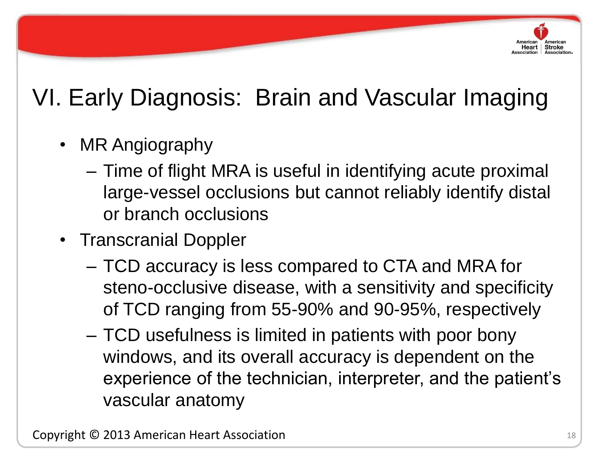

- MR Angiography
	- Time of flight MRA is useful in identifying acute proximal large-vessel occlusions but cannot reliably identify distal or branch occlusions
- Transcranial Doppler
	- TCD accuracy is less compared to CTA and MRA for steno-occlusive disease, with a sensitivity and specificity of TCD ranging from 55-90% and 90-95%, respectively
	- TCD usefulness is limited in patients with poor bony windows, and its overall accuracy is dependent on the experience of the technician, interpreter, and the patient's vascular anatomy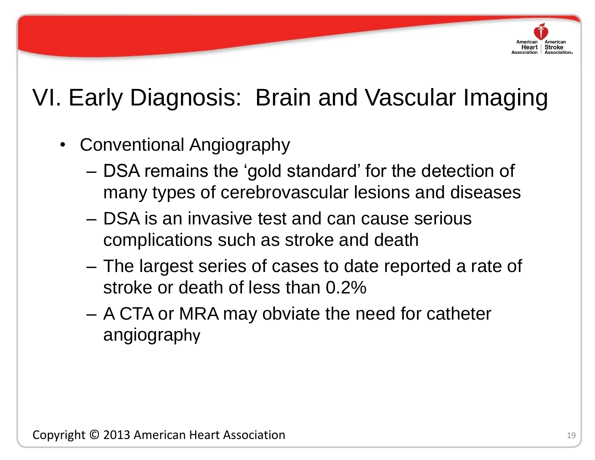

- Conventional Angiography
	- DSA remains the "gold standard" for the detection of many types of cerebrovascular lesions and diseases
- complications such as stroke and death – DSA is an invasive test and can cause serious
	- The largest series of cases to date reported a rate of stroke or death of less than 0.2%
	- A CTA or MRA may obviate the need for catheter angiography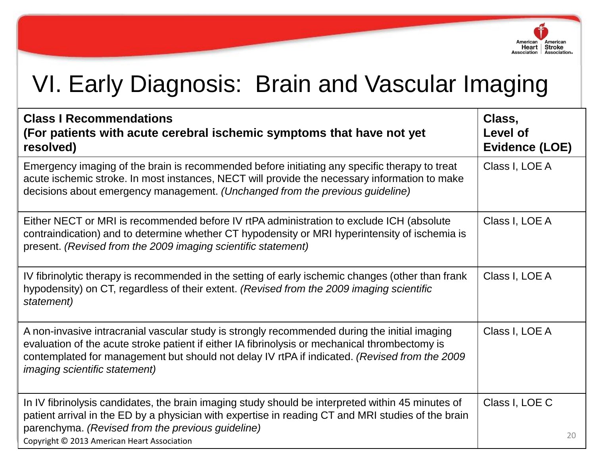

| <b>Class I Recommendations</b><br>(For patients with acute cerebral ischemic symptoms that have not yet<br>resolved)                                                                                                                                                                                                                     | Class,<br>Level of<br>Evidence (LOE) |    |
|------------------------------------------------------------------------------------------------------------------------------------------------------------------------------------------------------------------------------------------------------------------------------------------------------------------------------------------|--------------------------------------|----|
| Emergency imaging of the brain is recommended before initiating any specific therapy to treat<br>acute ischemic stroke. In most instances, NECT will provide the necessary information to make<br>decisions about emergency management. (Unchanged from the previous guideline)                                                          | Class I, LOE A                       |    |
| Either NECT or MRI is recommended before IV rtPA administration to exclude ICH (absolute<br>contraindication) and to determine whether CT hypodensity or MRI hyperintensity of ischemia is<br>present. (Revised from the 2009 imaging scientific statement)                                                                              | Class I, LOE A                       |    |
| IV fibrinolytic therapy is recommended in the setting of early ischemic changes (other than frank<br>hypodensity) on CT, regardless of their extent. (Revised from the 2009 imaging scientific<br>statement)                                                                                                                             | Class I, LOE A                       |    |
| A non-invasive intracranial vascular study is strongly recommended during the initial imaging<br>evaluation of the acute stroke patient if either IA fibrinolysis or mechanical thrombectomy is<br>contemplated for management but should not delay IV rtPA if indicated. (Revised from the 2009<br><i>imaging scientific statement)</i> | Class I, LOE A                       |    |
| In IV fibrinolysis candidates, the brain imaging study should be interpreted within 45 minutes of<br>patient arrival in the ED by a physician with expertise in reading CT and MRI studies of the brain<br>parenchyma. (Revised from the previous guideline)<br>Copyright © 2013 American Heart Association                              | Class I, LOE C                       | 20 |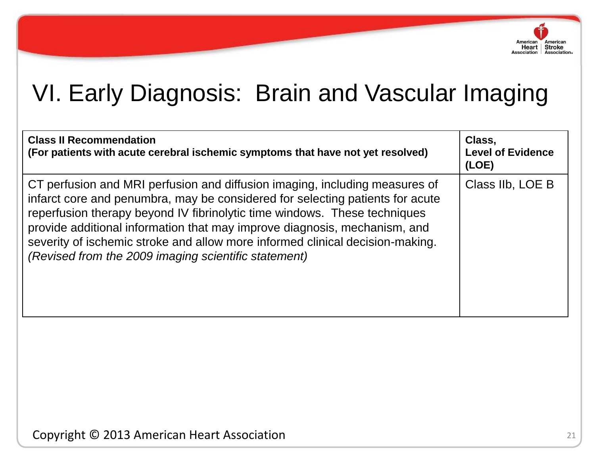

| <b>Class II Recommendation</b><br>(For patients with acute cerebral ischemic symptoms that have not yet resolved)                                                                                                                                                                                                                                                                                                                                               | Class,<br><b>Level of Evidence</b><br>(LOE) |
|-----------------------------------------------------------------------------------------------------------------------------------------------------------------------------------------------------------------------------------------------------------------------------------------------------------------------------------------------------------------------------------------------------------------------------------------------------------------|---------------------------------------------|
| CT perfusion and MRI perfusion and diffusion imaging, including measures of<br>infarct core and penumbra, may be considered for selecting patients for acute<br>reperfusion therapy beyond IV fibrinolytic time windows. These techniques<br>provide additional information that may improve diagnosis, mechanism, and<br>severity of ischemic stroke and allow more informed clinical decision-making.<br>(Revised from the 2009 imaging scientific statement) | Class IIb, LOE B                            |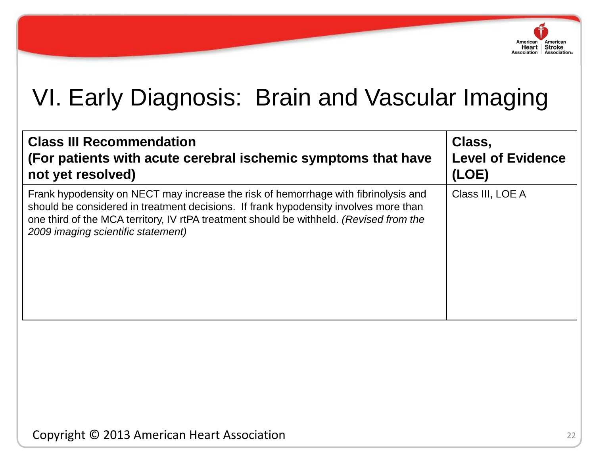

| <b>Class III Recommendation</b><br>(For patients with acute cerebral ischemic symptoms that have<br>not yet resolved)                                                                                                                                                                                        | Class,<br><b>Level of Evidence</b><br>(LOE) |
|--------------------------------------------------------------------------------------------------------------------------------------------------------------------------------------------------------------------------------------------------------------------------------------------------------------|---------------------------------------------|
| Frank hypodensity on NECT may increase the risk of hemorrhage with fibrinolysis and<br>should be considered in treatment decisions. If frank hypodensity involves more than<br>one third of the MCA territory, IV rtPA treatment should be withheld. (Revised from the<br>2009 imaging scientific statement) | Class III, LOE A                            |
|                                                                                                                                                                                                                                                                                                              |                                             |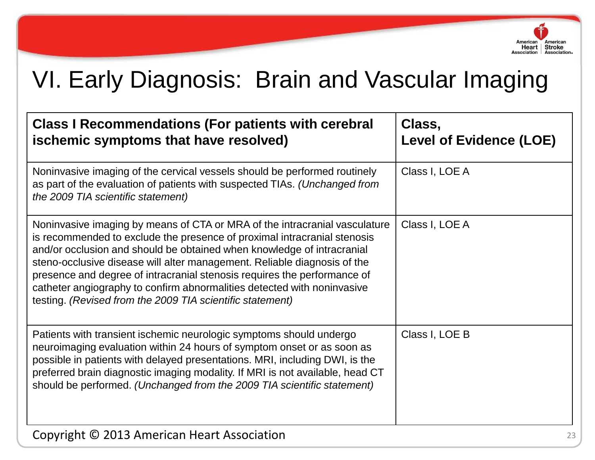

| <b>Class I Recommendations (For patients with cerebral</b><br>ischemic symptoms that have resolved)                                                                                                                                                                                                                                                                                                                                                                                                                              | Class,<br><b>Level of Evidence (LOE)</b> |
|----------------------------------------------------------------------------------------------------------------------------------------------------------------------------------------------------------------------------------------------------------------------------------------------------------------------------------------------------------------------------------------------------------------------------------------------------------------------------------------------------------------------------------|------------------------------------------|
| Noninvasive imaging of the cervical vessels should be performed routinely<br>as part of the evaluation of patients with suspected TIAs. (Unchanged from<br>the 2009 TIA scientific statement)                                                                                                                                                                                                                                                                                                                                    | Class I, LOE A                           |
| Noninvasive imaging by means of CTA or MRA of the intracranial vasculature<br>is recommended to exclude the presence of proximal intracranial stenosis<br>and/or occlusion and should be obtained when knowledge of intracranial<br>steno-occlusive disease will alter management. Reliable diagnosis of the<br>presence and degree of intracranial stenosis requires the performance of<br>catheter angiography to confirm abnormalities detected with noninvasive<br>testing. (Revised from the 2009 TIA scientific statement) | Class I, LOE A                           |
| Patients with transient ischemic neurologic symptoms should undergo<br>neuroimaging evaluation within 24 hours of symptom onset or as soon as<br>possible in patients with delayed presentations. MRI, including DWI, is the<br>preferred brain diagnostic imaging modality. If MRI is not available, head CT<br>should be performed. (Unchanged from the 2009 TIA scientific statement)                                                                                                                                         | Class I, LOE B                           |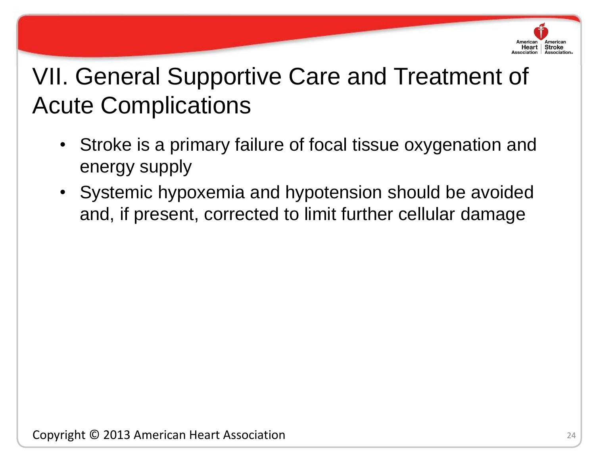

- Stroke is a primary failure of focal tissue oxygenation and energy supply
- Systemic hypoxemia and hypotension should be avoided and, if present, corrected to limit further cellular damage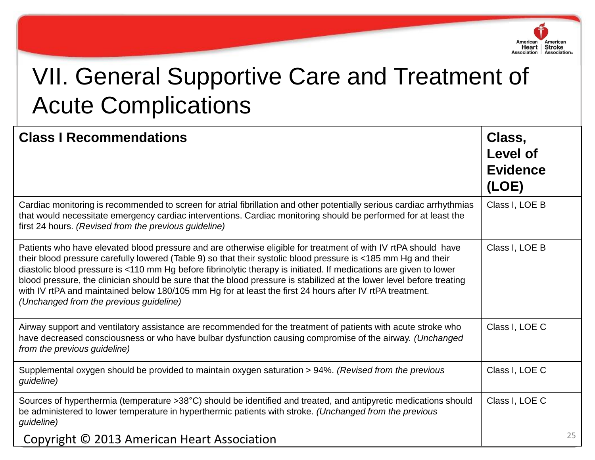

| <b>Class I Recommendations</b>                                                                                                                                                                                                                                                                                                                                                                                                                                                                                                                                                                                                         | Class,<br>Level of<br><b>Evidence</b><br>(LOE) |    |
|----------------------------------------------------------------------------------------------------------------------------------------------------------------------------------------------------------------------------------------------------------------------------------------------------------------------------------------------------------------------------------------------------------------------------------------------------------------------------------------------------------------------------------------------------------------------------------------------------------------------------------------|------------------------------------------------|----|
| Cardiac monitoring is recommended to screen for atrial fibrillation and other potentially serious cardiac arrhythmias<br>that would necessitate emergency cardiac interventions. Cardiac monitoring should be performed for at least the<br>first 24 hours. (Revised from the previous guideline)                                                                                                                                                                                                                                                                                                                                      | Class I, LOE B                                 |    |
| Patients who have elevated blood pressure and are otherwise eligible for treatment of with IV rtPA should have<br>their blood pressure carefully lowered (Table 9) so that their systolic blood pressure is <185 mm Hg and their<br>diastolic blood pressure is <110 mm Hg before fibrinolytic therapy is initiated. If medications are given to lower<br>blood pressure, the clinician should be sure that the blood pressure is stabilized at the lower level before treating<br>with IV rtPA and maintained below 180/105 mm Hg for at least the first 24 hours after IV rtPA treatment.<br>(Unchanged from the previous guideline) | Class I, LOE B                                 |    |
| Airway support and ventilatory assistance are recommended for the treatment of patients with acute stroke who<br>have decreased consciousness or who have bulbar dysfunction causing compromise of the airway. (Unchanged<br>from the previous guideline)                                                                                                                                                                                                                                                                                                                                                                              | Class I, LOE C                                 |    |
| Supplemental oxygen should be provided to maintain oxygen saturation > 94%. (Revised from the previous<br>guideline)                                                                                                                                                                                                                                                                                                                                                                                                                                                                                                                   | Class I, LOE C                                 |    |
| Sources of hyperthermia (temperature >38°C) should be identified and treated, and antipyretic medications should<br>be administered to lower temperature in hyperthermic patients with stroke. (Unchanged from the previous<br>guideline)                                                                                                                                                                                                                                                                                                                                                                                              | Class I, LOE C                                 |    |
| Copyright © 2013 American Heart Association                                                                                                                                                                                                                                                                                                                                                                                                                                                                                                                                                                                            |                                                | 25 |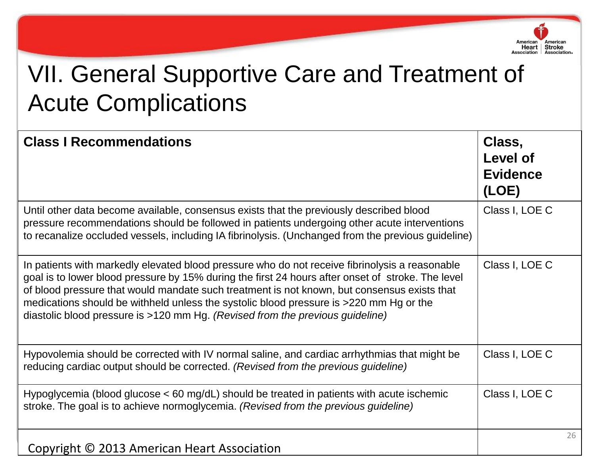

| <b>Class I Recommendations</b>                                                                                                                                                                                                                                                                                                                                                                                                                                                | Class,<br>Level of<br><b>Evidence</b><br>(LOE) |
|-------------------------------------------------------------------------------------------------------------------------------------------------------------------------------------------------------------------------------------------------------------------------------------------------------------------------------------------------------------------------------------------------------------------------------------------------------------------------------|------------------------------------------------|
| Until other data become available, consensus exists that the previously described blood<br>pressure recommendations should be followed in patients undergoing other acute interventions<br>to recanalize occluded vessels, including IA fibrinolysis. (Unchanged from the previous guideline)                                                                                                                                                                                 | Class I, LOE C                                 |
| In patients with markedly elevated blood pressure who do not receive fibrinolysis a reasonable<br>goal is to lower blood pressure by 15% during the first 24 hours after onset of stroke. The level<br>of blood pressure that would mandate such treatment is not known, but consensus exists that<br>medications should be withheld unless the systolic blood pressure is >220 mm Hg or the<br>diastolic blood pressure is >120 mm Hg. (Revised from the previous guideline) | Class I, LOE C                                 |
| Hypovolemia should be corrected with IV normal saline, and cardiac arrhythmias that might be<br>reducing cardiac output should be corrected. (Revised from the previous guideline)                                                                                                                                                                                                                                                                                            | Class I, LOE C                                 |
| Hypoglycemia (blood glucose $<$ 60 mg/dL) should be treated in patients with acute ischemic<br>stroke. The goal is to achieve normoglycemia. (Revised from the previous quideline)                                                                                                                                                                                                                                                                                            | Class I, LOE C                                 |
| Copyright © 2013 American Heart Association                                                                                                                                                                                                                                                                                                                                                                                                                                   | 26                                             |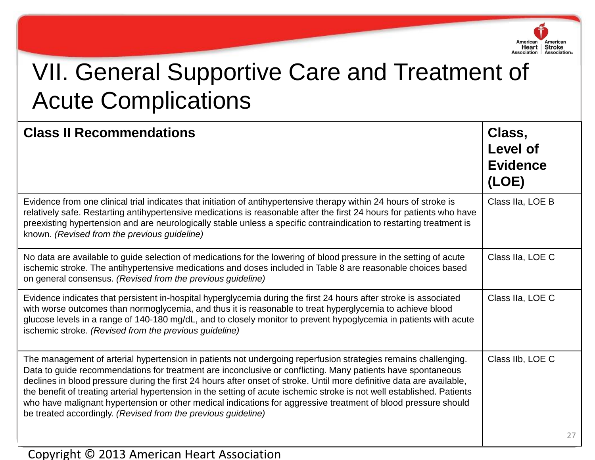

| <b>Class II Recommendations</b>                                                                                                                                                                                                                                                                                                                                                                                                                                                                                                                                                                                                                                      | Class,<br>Level of<br><b>Evidence</b><br>(LOE) |  |
|----------------------------------------------------------------------------------------------------------------------------------------------------------------------------------------------------------------------------------------------------------------------------------------------------------------------------------------------------------------------------------------------------------------------------------------------------------------------------------------------------------------------------------------------------------------------------------------------------------------------------------------------------------------------|------------------------------------------------|--|
| Evidence from one clinical trial indicates that initiation of antihypertensive therapy within 24 hours of stroke is<br>relatively safe. Restarting antihypertensive medications is reasonable after the first 24 hours for patients who have<br>preexisting hypertension and are neurologically stable unless a specific contraindication to restarting treatment is<br>known. (Revised from the previous guideline)                                                                                                                                                                                                                                                 | Class IIa, LOE B                               |  |
| No data are available to guide selection of medications for the lowering of blood pressure in the setting of acute<br>ischemic stroke. The antihypertensive medications and doses included in Table 8 are reasonable choices based<br>on general consensus. (Revised from the previous guideline)                                                                                                                                                                                                                                                                                                                                                                    | Class IIa, LOE C                               |  |
| Evidence indicates that persistent in-hospital hyperglycemia during the first 24 hours after stroke is associated<br>with worse outcomes than normoglycemia, and thus it is reasonable to treat hyperglycemia to achieve blood<br>glucose levels in a range of 140-180 mg/dL, and to closely monitor to prevent hypoglycemia in patients with acute<br>ischemic stroke. (Revised from the previous guideline)                                                                                                                                                                                                                                                        | Class IIa, LOE C                               |  |
| The management of arterial hypertension in patients not undergoing reperfusion strategies remains challenging.<br>Data to guide recommendations for treatment are inconclusive or conflicting. Many patients have spontaneous<br>declines in blood pressure during the first 24 hours after onset of stroke. Until more definitive data are available,<br>the benefit of treating arterial hypertension in the setting of acute ischemic stroke is not well established. Patients<br>who have malignant hypertension or other medical indications for aggressive treatment of blood pressure should<br>be treated accordingly. (Revised from the previous guideline) | Class IIb, LOE C                               |  |
|                                                                                                                                                                                                                                                                                                                                                                                                                                                                                                                                                                                                                                                                      | 27                                             |  |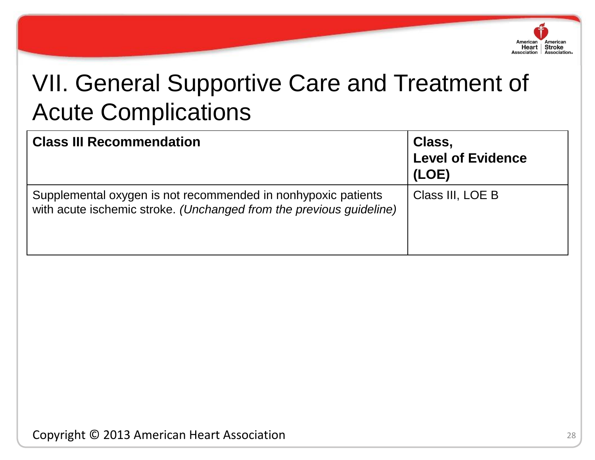

| <b>Class III Recommendation</b>                                                                                                      | Class,<br><b>Level of Evidence</b><br>(LOE) |
|--------------------------------------------------------------------------------------------------------------------------------------|---------------------------------------------|
| Supplemental oxygen is not recommended in nonhypoxic patients<br>with acute ischemic stroke. (Unchanged from the previous guideline) | Class III, LOE B                            |

Copyright © 2013 American Heart Association 28 28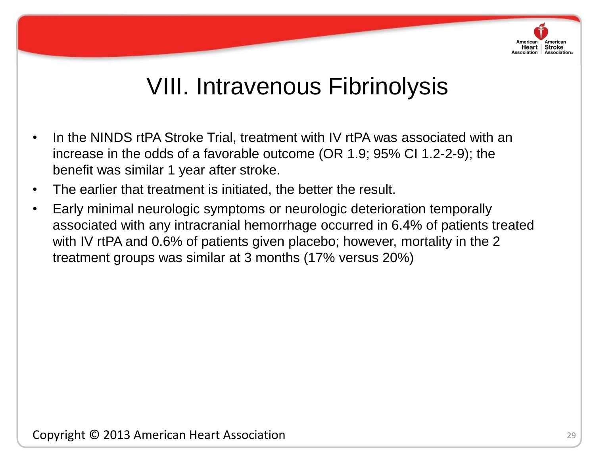# Heart | Stroke

- In the NINDS rtPA Stroke Trial, treatment with IV rtPA was associated with an increase in the odds of a favorable outcome (OR 1.9; 95% CI 1.2-2-9); the benefit was similar 1 year after stroke.
- The earlier that treatment is initiated, the better the result.
- associated with any intractant nemic • Early minimal neurologic symptoms or neurologic deterioration temporally associated with any intracranial hemorrhage occurred in 6.4% of patients treated with IV rtPA and 0.6% of patients given placebo; however, mortality in the 2 treatment groups was similar at 3 months (17% versus 20%)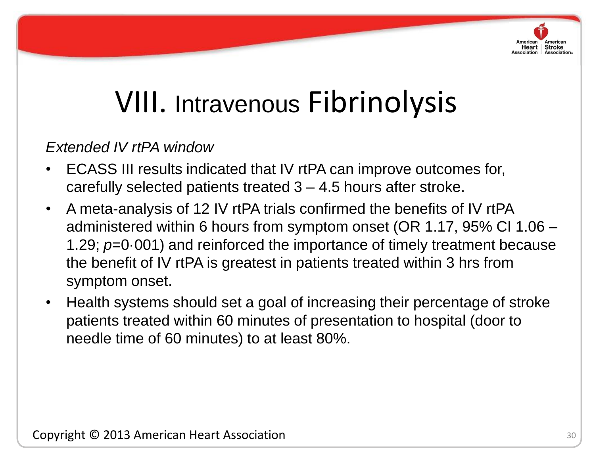

### *Extended IV rtPA window*

- ECASS III results indicated that IV rtPA can improve outcomes for, carefully selected patients treated 3 – 4.5 hours after stroke.
- administered within 6 hours from symptom onset (OR 1.17, 95% CI 1.06 • A meta-analysis of 12 IV rtPA trials confirmed the benefits of IV rtPA 1.29; *p*=0·001) and reinforced the importance of timely treatment because the benefit of IV rtPA is greatest in patients treated within 3 hrs from symptom onset.
	- Health systems should set a goal of increasing their percentage of stroke patients treated within 60 minutes of presentation to hospital (door to needle time of 60 minutes) to at least 80%.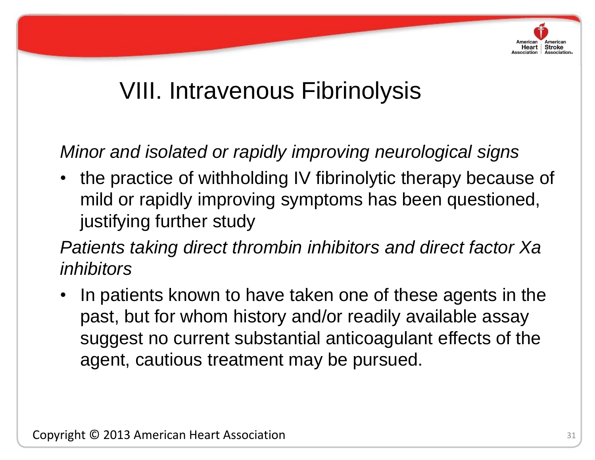

*Minor and isolated or rapidly improving neurological signs* 

Jaomynighannoi olaaj • the practice of withholding IV fibrinolytic therapy because of mild or rapidly improving symptoms has been questioned, justifying further study

*Patients taking direct thrombin inhibitors and direct factor Xa inhibitors*

• In patients known to have taken one of these agents in the past, but for whom history and/or readily available assay suggest no current substantial anticoagulant effects of the agent, cautious treatment may be pursued.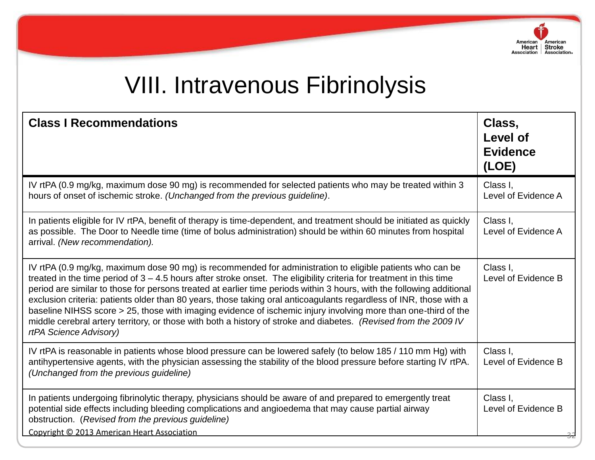

| <b>Class I Recommendations</b>                                                                                                                                                                                                                                                                                                                                                                                                                                                                                                                                                                                                                                                                                                                    | Class,<br><b>Level of</b><br><b>Evidence</b><br>(LOE) |
|---------------------------------------------------------------------------------------------------------------------------------------------------------------------------------------------------------------------------------------------------------------------------------------------------------------------------------------------------------------------------------------------------------------------------------------------------------------------------------------------------------------------------------------------------------------------------------------------------------------------------------------------------------------------------------------------------------------------------------------------------|-------------------------------------------------------|
| IV rtPA (0.9 mg/kg, maximum dose 90 mg) is recommended for selected patients who may be treated within 3<br>hours of onset of ischemic stroke. (Unchanged from the previous guideline).                                                                                                                                                                                                                                                                                                                                                                                                                                                                                                                                                           | Class I.<br>Level of Evidence A                       |
| In patients eligible for IV rtPA, benefit of therapy is time-dependent, and treatment should be initiated as quickly<br>as possible. The Door to Needle time (time of bolus administration) should be within 60 minutes from hospital<br>arrival. (New recommendation).                                                                                                                                                                                                                                                                                                                                                                                                                                                                           | Class I,<br>Level of Evidence A                       |
| IV rtPA (0.9 mg/kg, maximum dose 90 mg) is recommended for administration to eligible patients who can be<br>treated in the time period of $3 - 4.5$ hours after stroke onset. The eligibility criteria for treatment in this time<br>period are similar to those for persons treated at earlier time periods within 3 hours, with the following additional<br>exclusion criteria: patients older than 80 years, those taking oral anticoagulants regardless of INR, those with a<br>baseline NIHSS score > 25, those with imaging evidence of ischemic injury involving more than one-third of the<br>middle cerebral artery territory, or those with both a history of stroke and diabetes. (Revised from the 2009 IV<br>rtPA Science Advisory) | Class I.<br>Level of Evidence B                       |
| IV rtPA is reasonable in patients whose blood pressure can be lowered safely (to below 185 / 110 mm Hg) with<br>antihypertensive agents, with the physician assessing the stability of the blood pressure before starting IV rtPA.<br>(Unchanged from the previous guideline)                                                                                                                                                                                                                                                                                                                                                                                                                                                                     | Class I.<br>Level of Evidence B                       |
| In patients undergoing fibrinolytic therapy, physicians should be aware of and prepared to emergently treat<br>potential side effects including bleeding complications and angioedema that may cause partial airway<br>obstruction. (Revised from the previous guideline)<br>Copyright © 2013 American Heart Association                                                                                                                                                                                                                                                                                                                                                                                                                          | Class I.<br>Level of Evidence B                       |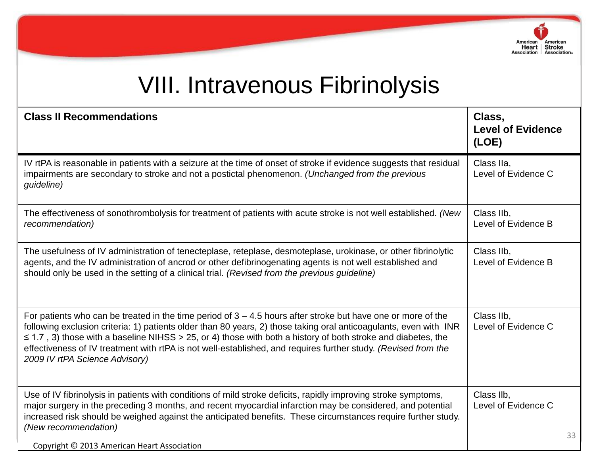

| <b>Class II Recommendations</b>                                                                                                                                                                                                                                                                                                                                                                                                                                                                              | Class,<br><b>Level of Evidence</b><br>(LOE) |    |
|--------------------------------------------------------------------------------------------------------------------------------------------------------------------------------------------------------------------------------------------------------------------------------------------------------------------------------------------------------------------------------------------------------------------------------------------------------------------------------------------------------------|---------------------------------------------|----|
| IV rtPA is reasonable in patients with a seizure at the time of onset of stroke if evidence suggests that residual<br>impairments are secondary to stroke and not a postictal phenomenon. (Unchanged from the previous<br>guideline)                                                                                                                                                                                                                                                                         | Class IIa,<br>Level of Evidence C           |    |
| The effectiveness of sonothrombolysis for treatment of patients with acute stroke is not well established. (New<br>recommendation)                                                                                                                                                                                                                                                                                                                                                                           | Class IIb,<br>Level of Evidence B           |    |
| The usefulness of IV administration of tenecteplase, reteplase, desmoteplase, urokinase, or other fibrinolytic<br>agents, and the IV administration of ancrod or other defibrinogenating agents is not well established and<br>should only be used in the setting of a clinical trial. (Revised from the previous guideline)                                                                                                                                                                                 | Class IIb,<br>Level of Evidence B           |    |
| For patients who can be treated in the time period of $3 - 4.5$ hours after stroke but have one or more of the<br>following exclusion criteria: 1) patients older than 80 years, 2) those taking oral anticoagulants, even with INR<br>$\leq$ 1.7, 3) those with a baseline NIHSS > 25, or 4) those with both a history of both stroke and diabetes, the<br>effectiveness of IV treatment with rtPA is not well-established, and requires further study. (Revised from the<br>2009 IV rtPA Science Advisory) | Class IIb,<br>Level of Evidence C           |    |
| Use of IV fibrinolysis in patients with conditions of mild stroke deficits, rapidly improving stroke symptoms,<br>major surgery in the preceding 3 months, and recent myocardial infarction may be considered, and potential<br>increased risk should be weighed against the anticipated benefits. These circumstances require further study.<br>(New recommendation)                                                                                                                                        | Class Ilb.<br>Level of Evidence C           | 33 |
| Copyright © 2013 American Heart Association                                                                                                                                                                                                                                                                                                                                                                                                                                                                  |                                             |    |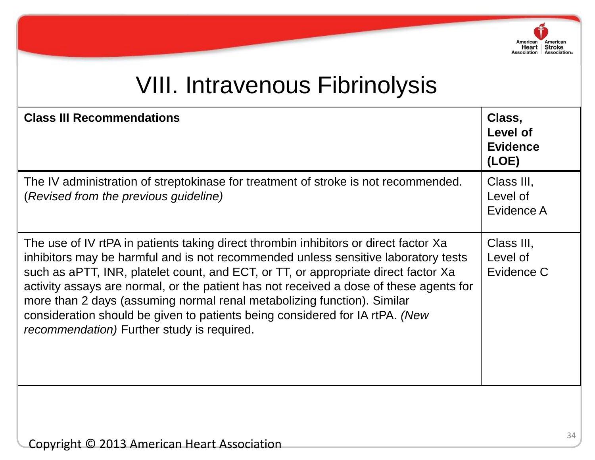

| <b>Class III Recommendations</b>                                                                                                                                                                                                                                                                                                                                                                                                                                                                                                                                            | Class,<br>Level of<br><b>Evidence</b><br>(LOE) |
|-----------------------------------------------------------------------------------------------------------------------------------------------------------------------------------------------------------------------------------------------------------------------------------------------------------------------------------------------------------------------------------------------------------------------------------------------------------------------------------------------------------------------------------------------------------------------------|------------------------------------------------|
| The IV administration of streptokinase for treatment of stroke is not recommended.<br>(Revised from the previous guideline)                                                                                                                                                                                                                                                                                                                                                                                                                                                 | Class III,<br>Level of<br>Evidence A           |
| The use of IV rtPA in patients taking direct thrombin inhibitors or direct factor Xa<br>inhibitors may be harmful and is not recommended unless sensitive laboratory tests<br>such as aPTT, INR, platelet count, and ECT, or TT, or appropriate direct factor Xa<br>activity assays are normal, or the patient has not received a dose of these agents for<br>more than 2 days (assuming normal renal metabolizing function). Similar<br>consideration should be given to patients being considered for IA rtPA. (New<br><i>recommendation</i> ) Further study is required. | Class III,<br>Level of<br>Evidence C           |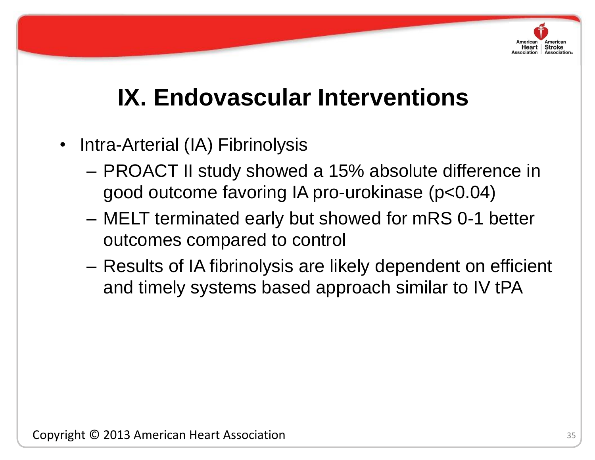# **IX. Endovascular Interventions**

- Intra-Arterial (IA) Fibrinolysis
	- PROACT II study showed a 15% absolute difference in good outcome favoring IA pro-urokinase (p<0.04)
- outcomes compared to control – MELT terminated early but showed for mRS 0-1 better
	- Results of IA fibrinolysis are likely dependent on efficient and timely systems based approach similar to IV tPA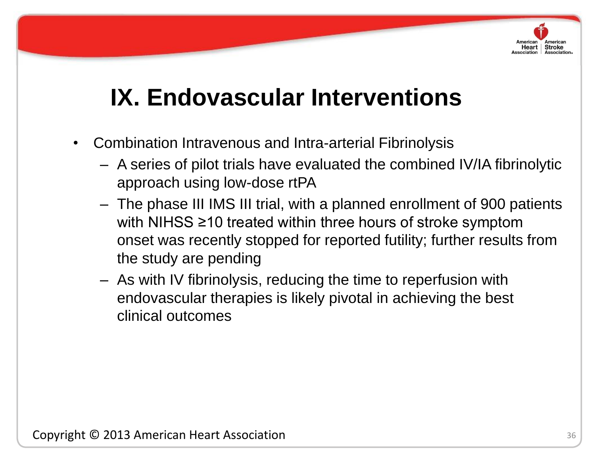# **IX. Endovascular Interventions**

- Combination Intravenous and Intra-arterial Fibrinolysis
	- A series of pilot trials have evaluated the combined IV/IA fibrinolytic approach using low-dose rtPA
- $Cov(1)$  and  $Cov(2) = 10$  and  $Cov(2)$ – The phase III IMS III trial, with a planned enrollment of 900 patients with NIHSS ≥10 treated within three hours of stroke symptom onset was recently stopped for reported futility; further results from the study are pending
	- As with IV fibrinolysis, reducing the time to reperfusion with endovascular therapies is likely pivotal in achieving the best clinical outcomes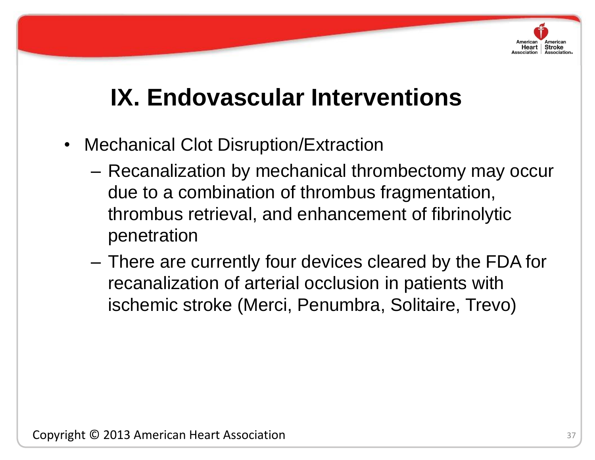# **IX. Endovascular Interventions**

- Mechanical Clot Disruption/Extraction
- penetration – Recanalization by mechanical thrombectomy may occur due to a combination of thrombus fragmentation, thrombus retrieval, and enhancement of fibrinolytic
	- There are currently four devices cleared by the FDA for recanalization of arterial occlusion in patients with ischemic stroke (Merci, Penumbra, Solitaire, Trevo)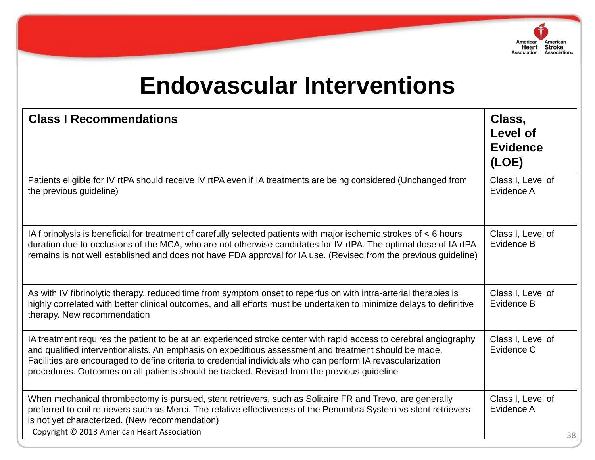

# **Endovascular Interventions**

| <b>Class I Recommendations</b>                                                                                                                                                                                                                                                                                                                                                                                                           | Class,<br>Level of<br><b>Evidence</b><br>(LOE) |
|------------------------------------------------------------------------------------------------------------------------------------------------------------------------------------------------------------------------------------------------------------------------------------------------------------------------------------------------------------------------------------------------------------------------------------------|------------------------------------------------|
| Patients eligible for IV rtPA should receive IV rtPA even if IA treatments are being considered (Unchanged from<br>the previous guideline)                                                                                                                                                                                                                                                                                               | Class I, Level of<br>Evidence A                |
| IA fibrinolysis is beneficial for treatment of carefully selected patients with major ischemic strokes of < 6 hours<br>duration due to occlusions of the MCA, who are not otherwise candidates for IV rtPA. The optimal dose of IA rtPA<br>remains is not well established and does not have FDA approval for IA use. (Revised from the previous guideline)                                                                              | Class I, Level of<br>Evidence B                |
| As with IV fibrinolytic therapy, reduced time from symptom onset to reperfusion with intra-arterial therapies is<br>highly correlated with better clinical outcomes, and all efforts must be undertaken to minimize delays to definitive<br>therapy. New recommendation                                                                                                                                                                  | Class I, Level of<br>Evidence B                |
| IA treatment requires the patient to be at an experienced stroke center with rapid access to cerebral angiography<br>and qualified interventionalists. An emphasis on expeditious assessment and treatment should be made.<br>Facilities are encouraged to define criteria to credential individuals who can perform IA revascularization<br>procedures. Outcomes on all patients should be tracked. Revised from the previous guideline | Class I, Level of<br>Evidence C                |
| When mechanical thrombectomy is pursued, stent retrievers, such as Solitaire FR and Trevo, are generally<br>preferred to coil retrievers such as Merci. The relative effectiveness of the Penumbra System vs stent retrievers<br>is not yet characterized. (New recommendation)<br>Copyright © 2013 American Heart Association                                                                                                           | Class I, Level of<br>Evidence A                |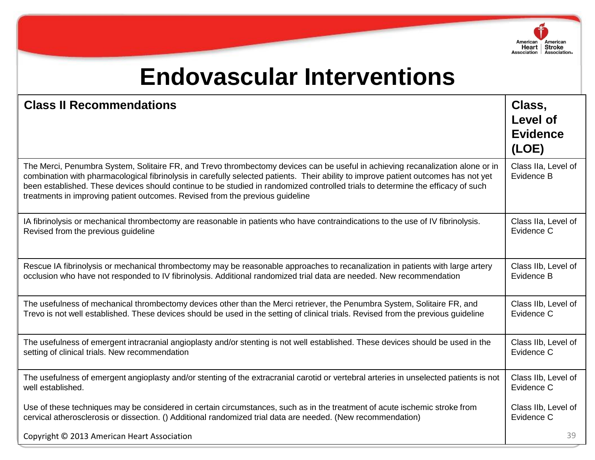

# **Endovascular Interventions**

| <b>Class II Recommendations</b>                                                                                                                                                                                                                                                                                                                                                                                                                                                           | Class,<br><b>Level of</b><br><b>Evidence</b><br>(LOE) |
|-------------------------------------------------------------------------------------------------------------------------------------------------------------------------------------------------------------------------------------------------------------------------------------------------------------------------------------------------------------------------------------------------------------------------------------------------------------------------------------------|-------------------------------------------------------|
| The Merci, Penumbra System, Solitaire FR, and Trevo thrombectomy devices can be useful in achieving recanalization alone or in<br>combination with pharmacological fibrinolysis in carefully selected patients. Their ability to improve patient outcomes has not yet<br>been established. These devices should continue to be studied in randomized controlled trials to determine the efficacy of such<br>treatments in improving patient outcomes. Revised from the previous guideline | Class IIa, Level of<br>Evidence B                     |
| IA fibrinolysis or mechanical thrombectomy are reasonable in patients who have contraindications to the use of IV fibrinolysis.                                                                                                                                                                                                                                                                                                                                                           | Class IIa, Level of                                   |
| Revised from the previous guideline                                                                                                                                                                                                                                                                                                                                                                                                                                                       | Evidence C                                            |
| Rescue IA fibrinolysis or mechanical thrombectomy may be reasonable approaches to recanalization in patients with large artery                                                                                                                                                                                                                                                                                                                                                            | Class IIb, Level of                                   |
| occlusion who have not responded to IV fibrinolysis. Additional randomized trial data are needed. New recommendation                                                                                                                                                                                                                                                                                                                                                                      | Evidence B                                            |
| The usefulness of mechanical thrombectomy devices other than the Merci retriever, the Penumbra System, Solitaire FR, and                                                                                                                                                                                                                                                                                                                                                                  | Class IIb, Level of                                   |
| Trevo is not well established. These devices should be used in the setting of clinical trials. Revised from the previous guideline                                                                                                                                                                                                                                                                                                                                                        | Evidence C                                            |
| The usefulness of emergent intracranial angioplasty and/or stenting is not well established. These devices should be used in the                                                                                                                                                                                                                                                                                                                                                          | Class IIb, Level of                                   |
| setting of clinical trials. New recommendation                                                                                                                                                                                                                                                                                                                                                                                                                                            | Evidence C                                            |
| The usefulness of emergent angioplasty and/or stenting of the extracranial carotid or vertebral arteries in unselected patients is not                                                                                                                                                                                                                                                                                                                                                    | Class IIb, Level of                                   |
| well established.                                                                                                                                                                                                                                                                                                                                                                                                                                                                         | Evidence C                                            |
| Use of these techniques may be considered in certain circumstances, such as in the treatment of acute ischemic stroke from                                                                                                                                                                                                                                                                                                                                                                | Class IIb, Level of                                   |
| cervical atherosclerosis or dissection. () Additional randomized trial data are needed. (New recommendation)                                                                                                                                                                                                                                                                                                                                                                              | Evidence C                                            |
| Copyright © 2013 American Heart Association                                                                                                                                                                                                                                                                                                                                                                                                                                               | 39                                                    |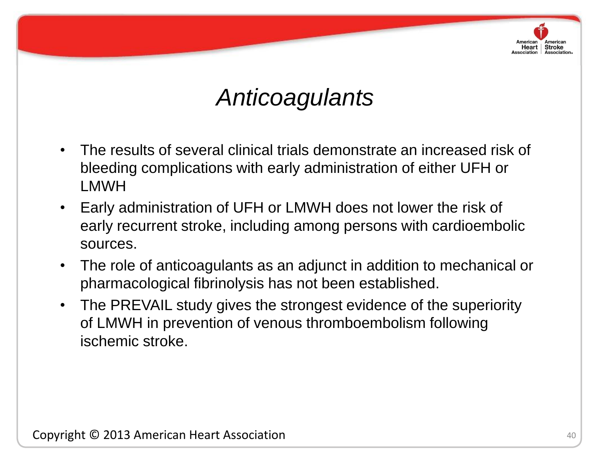# *Anticoagulants*

- The results of several clinical trials demonstrate an increased risk of bleeding complications with early administration of either UFH or LMWH
- early recurrent stroke, including among persons with cardioembolic • Early administration of UFH or LMWH does not lower the risk of sources.
	- The role of anticoagulants as an adjunct in addition to mechanical or pharmacological fibrinolysis has not been established.
	- The PREVAIL study gives the strongest evidence of the superiority of LMWH in prevention of venous thromboembolism following ischemic stroke.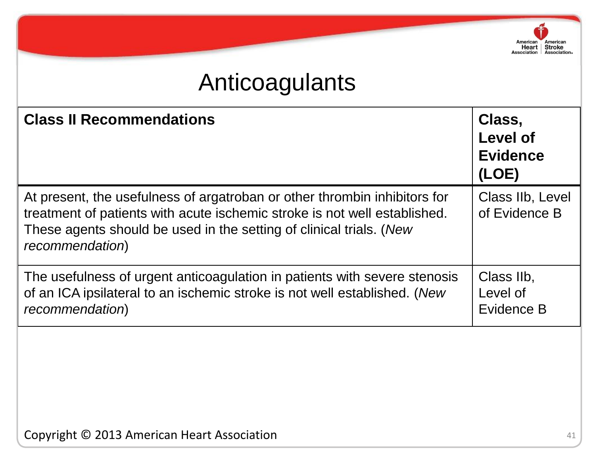# Anticoagulants

| <b>Class II Recommendations</b>                                                                                                                                                                                                                  | Class,<br><b>Level of</b><br><b>Evidence</b><br>(LOE) |
|--------------------------------------------------------------------------------------------------------------------------------------------------------------------------------------------------------------------------------------------------|-------------------------------------------------------|
| At present, the usefulness of argatroban or other thrombin inhibitors for<br>treatment of patients with acute ischemic stroke is not well established.<br>These agents should be used in the setting of clinical trials. (New<br>recommendation) | Class IIb, Level<br>of Evidence B                     |
| The usefulness of urgent anticoagulation in patients with severe stenosis<br>of an ICA ipsilateral to an ischemic stroke is not well established. (New<br>recommendation)                                                                        | Class IIb,<br>Level of<br>Evidence B                  |

American American<br>
Heart Stroke<br>
Association Association.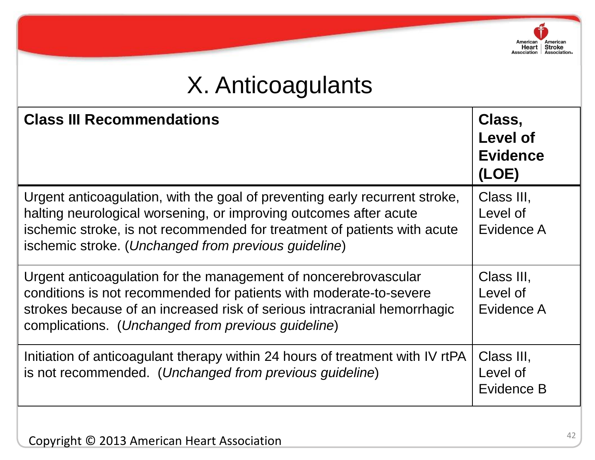# X. Anticoagulants

| <b>Class III Recommendations</b>                                                                                                                                                                                                                                                     | Class,<br>Level of<br><b>Evidence</b><br>(LOE) |
|--------------------------------------------------------------------------------------------------------------------------------------------------------------------------------------------------------------------------------------------------------------------------------------|------------------------------------------------|
| Urgent anticoagulation, with the goal of preventing early recurrent stroke,<br>halting neurological worsening, or improving outcomes after acute<br>ischemic stroke, is not recommended for treatment of patients with acute<br>ischemic stroke. (Unchanged from previous guideline) | Class III,<br>Level of<br>Evidence A           |
| Urgent anticoagulation for the management of noncerebrovascular<br>conditions is not recommended for patients with moderate-to-severe<br>strokes because of an increased risk of serious intracranial hemorrhagic<br>complications. (Unchanged from previous guideline)              | Class III,<br>Level of<br>Evidence A           |
| Initiation of anticoagulant therapy within 24 hours of treatment with IV rtPA<br>is not recommended. (Unchanged from previous guideline)                                                                                                                                             | Class III,<br>Level of<br>Evidence B           |

American American<br>
Heart Stroke<br>
Association Association.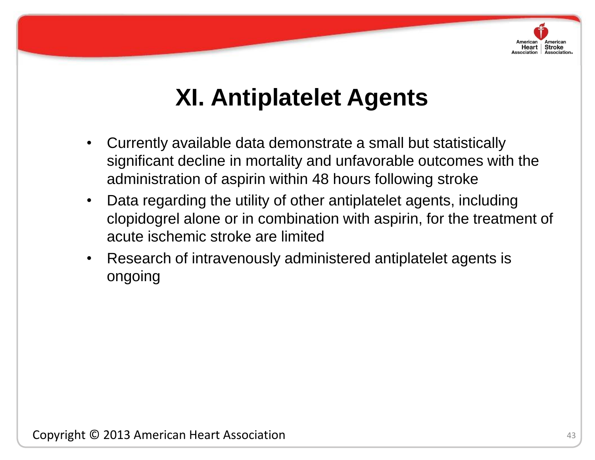

# **XI. Antiplatelet Agents**

- Currently available data demonstrate a small but statistically significant decline in mortality and unfavorable outcomes with the administration of aspirin within 48 hours following stroke
- acute ischemic stroke are limited • Data regarding the utility of other antiplatelet agents, including clopidogrel alone or in combination with aspirin, for the treatment of
	- Research of intravenously administered antiplatelet agents is ongoing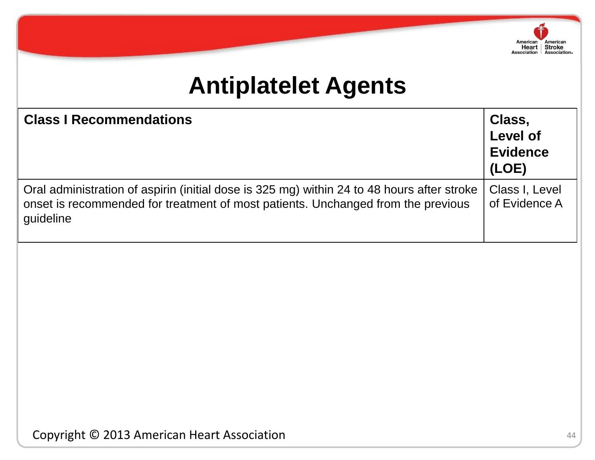

# **Antiplatelet Agents**

| <b>Class I Recommendations</b>                                                                                                                                                              | Class,<br><b>Level of</b><br><b>Evidence</b><br>(LOE) |
|---------------------------------------------------------------------------------------------------------------------------------------------------------------------------------------------|-------------------------------------------------------|
| Oral administration of aspirin (initial dose is 325 mg) within 24 to 48 hours after stroke<br>onset is recommended for treatment of most patients. Unchanged from the previous<br>guideline | Class I, Level<br>of Evidence A                       |
|                                                                                                                                                                                             |                                                       |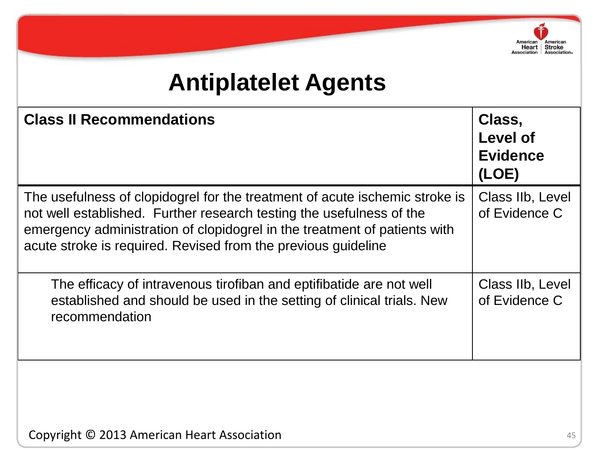

# **Antiplatelet Agents**

| <b>Class II Recommendations</b>                                                                                                                                                                                                                                                                   | Class,<br>Level of<br><b>Evidence</b><br>(LOE) |
|---------------------------------------------------------------------------------------------------------------------------------------------------------------------------------------------------------------------------------------------------------------------------------------------------|------------------------------------------------|
| The usefulness of clopidogrel for the treatment of acute ischemic stroke is<br>not well established. Further research testing the usefulness of the<br>emergency administration of clopidogrel in the treatment of patients with<br>acute stroke is required. Revised from the previous quideline | Class IIb, Level<br>of Evidence C              |
| The efficacy of intravenous tirofiban and eptifibatide are not well<br>established and should be used in the setting of clinical trials. New<br>recommendation                                                                                                                                    | Class IIb, Level<br>of Evidence C              |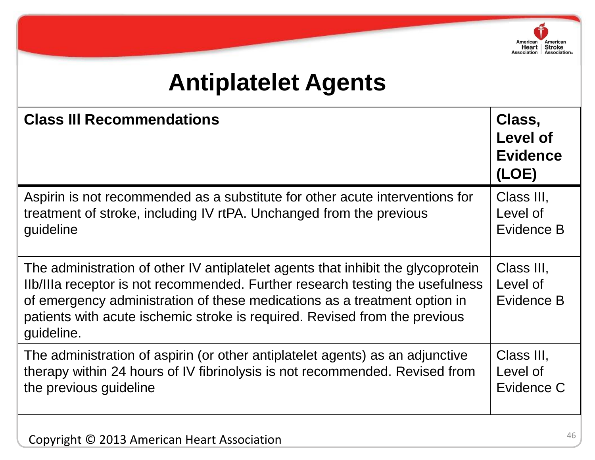

# **Antiplatelet Agents**

| <b>Class III Recommendations</b>                                                                                                                                                                                                                                                                                                           | Class,<br>Level of<br><b>Evidence</b><br>(LOE) |
|--------------------------------------------------------------------------------------------------------------------------------------------------------------------------------------------------------------------------------------------------------------------------------------------------------------------------------------------|------------------------------------------------|
| Aspirin is not recommended as a substitute for other acute interventions for                                                                                                                                                                                                                                                               | Class III,                                     |
| treatment of stroke, including IV rtPA. Unchanged from the previous                                                                                                                                                                                                                                                                        | Level of                                       |
| guideline                                                                                                                                                                                                                                                                                                                                  | Evidence B                                     |
| The administration of other IV antiplatelet agents that inhibit the glycoprotein<br>Ilb/IIIa receptor is not recommended. Further research testing the usefulness<br>of emergency administration of these medications as a treatment option in<br>patients with acute ischemic stroke is required. Revised from the previous<br>guideline. | Class III,<br>Level of<br>Evidence B           |
| The administration of aspirin (or other antiplatelet agents) as an adjunctive                                                                                                                                                                                                                                                              | Class III,                                     |
| therapy within 24 hours of IV fibrinolysis is not recommended. Revised from                                                                                                                                                                                                                                                                | Level of                                       |
| the previous guideline                                                                                                                                                                                                                                                                                                                     | Evidence C                                     |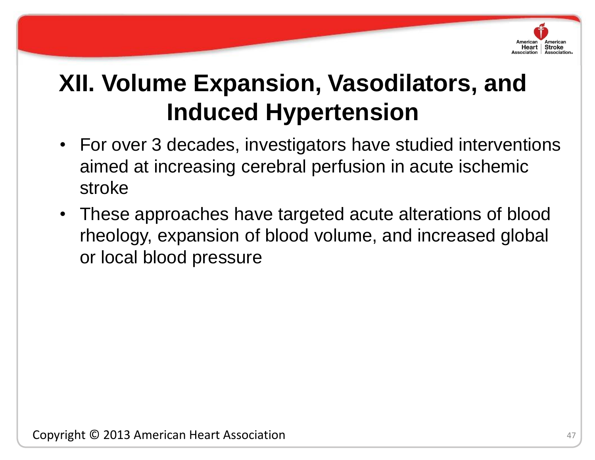

# **XII. Volume Expansion, Vasodilators, and Induced Hypertension**

- For over 3 decades, investigators have studied interventions aimed at increasing cerebral perfusion in acute ischemic stroke
- rheology, expansion of blood volume, and increased global • These approaches have targeted acute alterations of blood or local blood pressure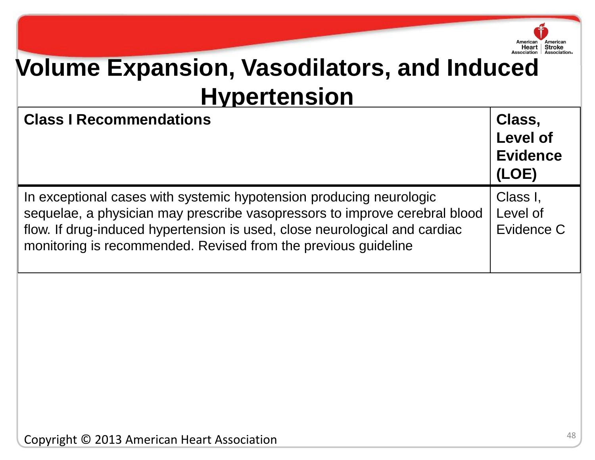

# **Volume Expansion, Vasodilators, and Induced Hypertension**

| <b>Class I Recommendations</b>                                                                                                                                                                                                                                                                    | Class,<br><b>Level of</b><br><b>Evidence</b><br>(LOE) |
|---------------------------------------------------------------------------------------------------------------------------------------------------------------------------------------------------------------------------------------------------------------------------------------------------|-------------------------------------------------------|
| In exceptional cases with systemic hypotension producing neurologic<br>sequelae, a physician may prescribe vasopressors to improve cerebral blood<br>flow. If drug-induced hypertension is used, close neurological and cardiac<br>monitoring is recommended. Revised from the previous guideline | Class I,<br>Level of<br>Evidence C                    |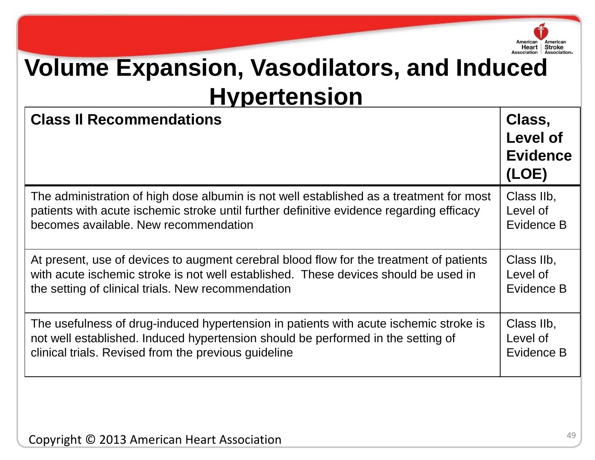

# **Volume Expansion, Vasodilators, and Induced Hypertension**

| <b>Class II Recommendations</b>                                                          | Class,<br>Level of<br><b>Evidence</b><br>(LOE) |
|------------------------------------------------------------------------------------------|------------------------------------------------|
| The administration of high dose albumin is not well established as a treatment for most  | Class IIb,                                     |
| patients with acute ischemic stroke until further definitive evidence regarding efficacy | Level of                                       |
| becomes available. New recommendation                                                    | Evidence B                                     |
| At present, use of devices to augment cerebral blood flow for the treatment of patients  | Class IIb,                                     |
| with acute ischemic stroke is not well established. These devices should be used in      | Level of                                       |
| the setting of clinical trials. New recommendation                                       | Evidence B                                     |
| The usefulness of drug-induced hypertension in patients with acute ischemic stroke is    | Class IIb,                                     |
| not well established. Induced hypertension should be performed in the setting of         | Level of                                       |
| clinical trials. Revised from the previous guideline                                     | Evidence B                                     |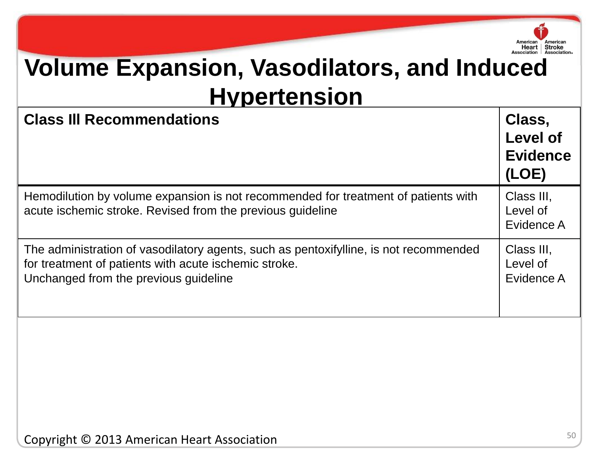

# **Volume Expansion, Vasodilators, and Induced Hypertension**

| <b>Class III Recommendations</b>                                                                                                                                                        | Class,<br><b>Level of</b><br><b>Evidence</b><br>(LOE) |
|-----------------------------------------------------------------------------------------------------------------------------------------------------------------------------------------|-------------------------------------------------------|
| Hemodilution by volume expansion is not recommended for treatment of patients with<br>acute ischemic stroke. Revised from the previous guideline                                        | Class III,<br>Level of<br>Evidence A                  |
| The administration of vasodilatory agents, such as pentoxifylline, is not recommended<br>for treatment of patients with acute ischemic stroke.<br>Unchanged from the previous guideline | Class III,<br>Level of<br>Evidence A                  |
|                                                                                                                                                                                         |                                                       |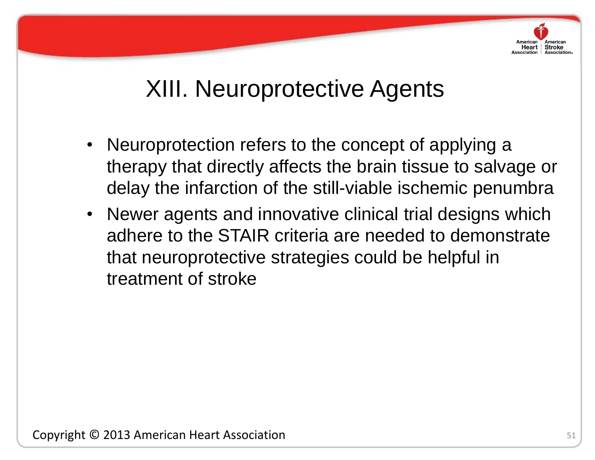

# XIII. Neuroprotective Agents

- Neuroprotection refers to the concept of applying a therapy that directly affects the brain tissue to salvage or delay the infarction of the still-viable ischemic penumbra
- adhere to the STAIR criteria are needed to demonstrate • Newer agents and innovative clinical trial designs which that neuroprotective strategies could be helpful in treatment of stroke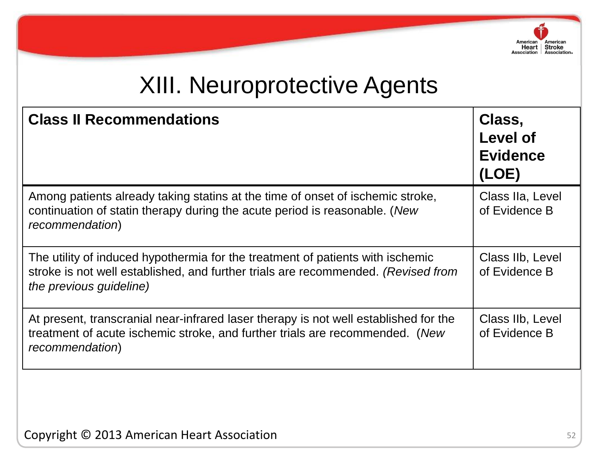

# XIII. Neuroprotective Agents

| <b>Class II Recommendations</b>                                                                                                                                                                 | Class,<br>Level of<br><b>Evidence</b><br>(LOE) |
|-------------------------------------------------------------------------------------------------------------------------------------------------------------------------------------------------|------------------------------------------------|
| Among patients already taking statins at the time of onset of ischemic stroke,<br>continuation of statin therapy during the acute period is reasonable. (New<br>recommendation)                 | Class IIa, Level<br>of Evidence B              |
| The utility of induced hypothermia for the treatment of patients with ischemic<br>stroke is not well established, and further trials are recommended. (Revised from<br>the previous guideline)  | Class IIb, Level<br>of Evidence B              |
| At present, transcranial near-infrared laser therapy is not well established for the<br>treatment of acute ischemic stroke, and further trials are recommended. (New<br><i>recommendation</i> ) | Class IIb, Level<br>of Evidence B              |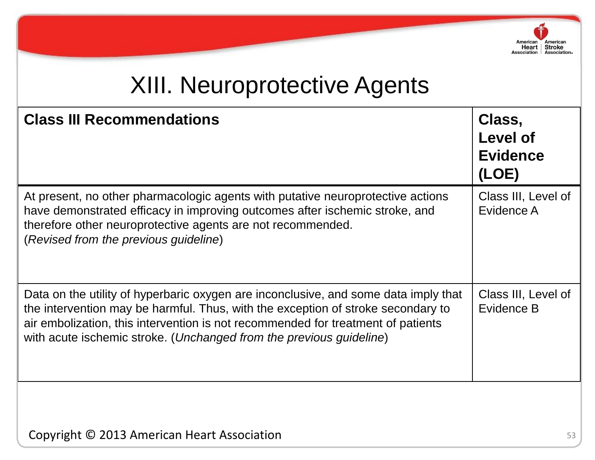

# XIII. Neuroprotective Agents

| <b>Class III Recommendations</b>                                                                                                                                                                                                                                                                                                   | Class,<br><b>Level of</b><br><b>Evidence</b><br>(LOE) |
|------------------------------------------------------------------------------------------------------------------------------------------------------------------------------------------------------------------------------------------------------------------------------------------------------------------------------------|-------------------------------------------------------|
| At present, no other pharmacologic agents with putative neuroprotective actions<br>have demonstrated efficacy in improving outcomes after ischemic stroke, and<br>therefore other neuroprotective agents are not recommended.<br>(Revised from the previous guideline)                                                             | Class III, Level of<br>Evidence A                     |
| Data on the utility of hyperbaric oxygen are inconclusive, and some data imply that<br>the intervention may be harmful. Thus, with the exception of stroke secondary to<br>air embolization, this intervention is not recommended for treatment of patients<br>with acute ischemic stroke. (Unchanged from the previous guideline) | Class III, Level of<br>Evidence B                     |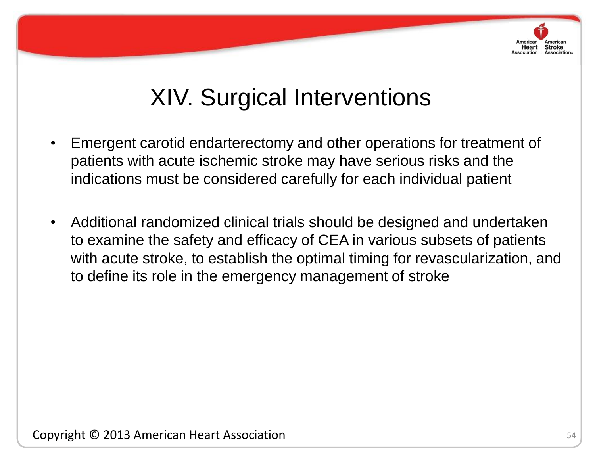

# XIV. Surgical Interventions

- Emergent carotid endarterectomy and other operations for treatment of patients with acute ischemic stroke may have serious risks and the indications must be considered carefully for each individual patient
- reduction in andonne commodi • Additional randomized clinical trials should be designed and undertaken to examine the safety and efficacy of CEA in various subsets of patients with acute stroke, to establish the optimal timing for revascularization, and to define its role in the emergency management of stroke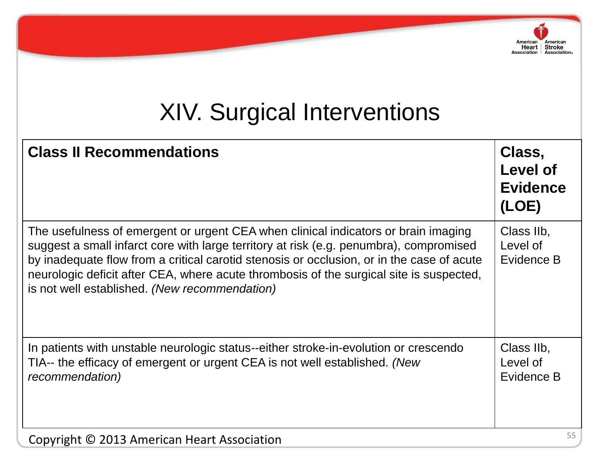# XIV. Surgical Interventions

American

American Heart Stroke<br>Association Association.

| <b>Class II Recommendations</b>                                                                                                                                                                                                                                                                                                                                                                                       | Class,<br><b>Level of</b><br><b>Evidence</b><br>(LOE) |
|-----------------------------------------------------------------------------------------------------------------------------------------------------------------------------------------------------------------------------------------------------------------------------------------------------------------------------------------------------------------------------------------------------------------------|-------------------------------------------------------|
| The usefulness of emergent or urgent CEA when clinical indicators or brain imaging<br>suggest a small infarct core with large territory at risk (e.g. penumbra), compromised<br>by inadequate flow from a critical carotid stenosis or occlusion, or in the case of acute<br>neurologic deficit after CEA, where acute thrombosis of the surgical site is suspected,<br>is not well established. (New recommendation) | Class IIb,<br>Level of<br>Evidence B                  |
| In patients with unstable neurologic status--either stroke-in-evolution or crescendo<br>TIA-- the efficacy of emergent or urgent CEA is not well established. (New<br>recommendation)                                                                                                                                                                                                                                 | Class IIb,<br>Level of<br>Evidence B                  |
| Copyright © 2013 American Heart Association                                                                                                                                                                                                                                                                                                                                                                           | 55                                                    |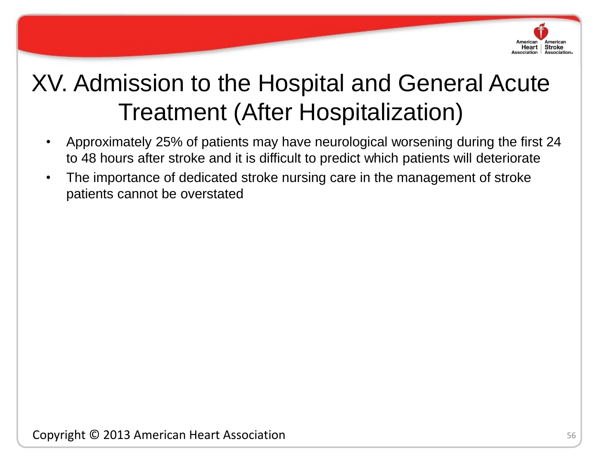

- Approximately 25% of patients may have neurological worsening during the first 24 to 48 hours after stroke and it is difficult to predict which patients will deteriorate
- The importance of dedicated stroke nursing care in the management of stroke patients cannot be overstated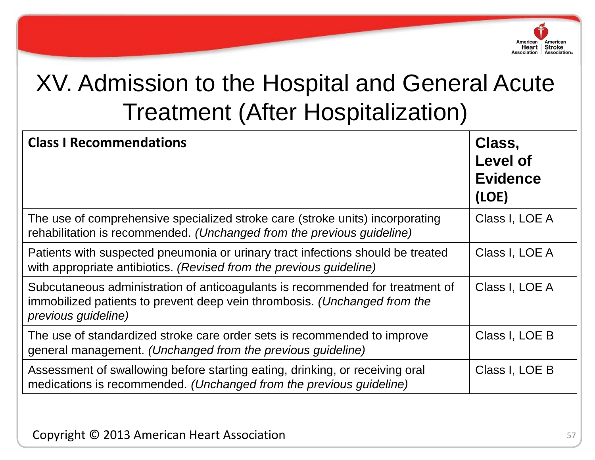

| <b>Class I Recommendations</b>                                                                                                                                                    | Class,<br><b>Level of</b><br><b>Evidence</b><br>(LOE) |
|-----------------------------------------------------------------------------------------------------------------------------------------------------------------------------------|-------------------------------------------------------|
| The use of comprehensive specialized stroke care (stroke units) incorporating<br>rehabilitation is recommended. (Unchanged from the previous guideline)                           | Class I, LOE A                                        |
| Patients with suspected pneumonia or urinary tract infections should be treated<br>with appropriate antibiotics. (Revised from the previous guideline)                            | Class I, LOE A                                        |
| Subcutaneous administration of anticoagulants is recommended for treatment of<br>immobilized patients to prevent deep vein thrombosis. (Unchanged from the<br>previous guideline) | Class I, LOE A                                        |
| The use of standardized stroke care order sets is recommended to improve<br>general management. (Unchanged from the previous guideline)                                           | Class I, LOE B                                        |
| Assessment of swallowing before starting eating, drinking, or receiving oral<br>medications is recommended. (Unchanged from the previous guideline)                               | Class I, LOE B                                        |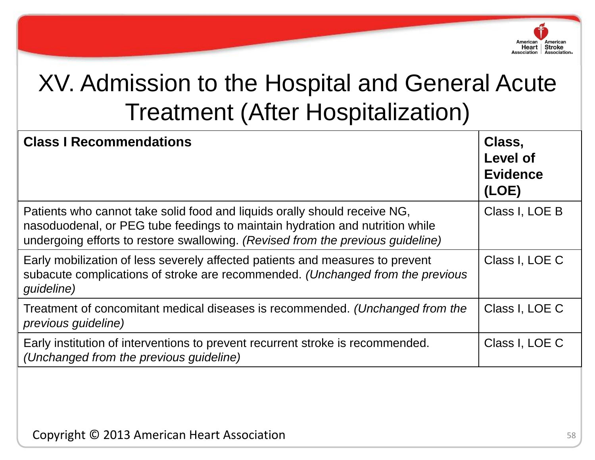

| <b>Class I Recommendations</b>                                                                                                                                                                                                               | Class,<br><b>Level of</b><br><b>Evidence</b><br>(LOE) |
|----------------------------------------------------------------------------------------------------------------------------------------------------------------------------------------------------------------------------------------------|-------------------------------------------------------|
| Patients who cannot take solid food and liquids orally should receive NG,<br>nasoduodenal, or PEG tube feedings to maintain hydration and nutrition while<br>undergoing efforts to restore swallowing. (Revised from the previous guideline) | Class I, LOE B                                        |
| Early mobilization of less severely affected patients and measures to prevent<br>subacute complications of stroke are recommended. (Unchanged from the previous<br>guideline)                                                                | Class I, LOE C                                        |
| Treatment of concomitant medical diseases is recommended. (Unchanged from the<br>previous guideline)                                                                                                                                         | Class I, LOE C                                        |
| Early institution of interventions to prevent recurrent stroke is recommended.<br>(Unchanged from the previous guideline)                                                                                                                    | Class I, LOE C                                        |
|                                                                                                                                                                                                                                              |                                                       |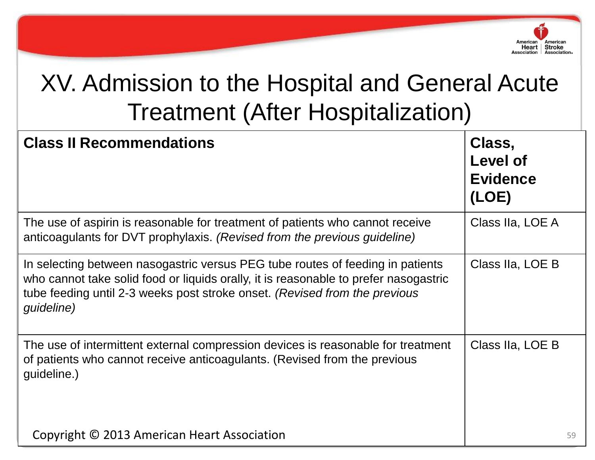

| <b>Class II Recommendations</b>                                                                                                                                                                                                                                    | Class,<br><b>Level of</b><br><b>Evidence</b><br>(LOE) |
|--------------------------------------------------------------------------------------------------------------------------------------------------------------------------------------------------------------------------------------------------------------------|-------------------------------------------------------|
| The use of aspirin is reasonable for treatment of patients who cannot receive<br>anticoagulants for DVT prophylaxis. (Revised from the previous guideline)                                                                                                         | Class IIa, LOE A                                      |
| In selecting between nasogastric versus PEG tube routes of feeding in patients<br>who cannot take solid food or liquids orally, it is reasonable to prefer nasogastric<br>tube feeding until 2-3 weeks post stroke onset. (Revised from the previous<br>guideline) | Class IIa, LOE B                                      |
| The use of intermittent external compression devices is reasonable for treatment<br>of patients who cannot receive anticoagulants. (Revised from the previous<br>guideline.)                                                                                       | Class IIa, LOE B                                      |
| Copyright © 2013 American Heart Association                                                                                                                                                                                                                        | 59                                                    |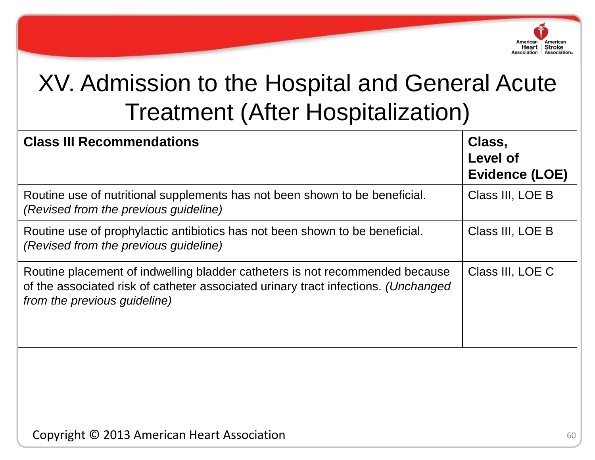

| <b>Class III Recommendations</b>                                                                                                                                                                   | Class,<br>Level of<br><b>Evidence (LOE)</b> |
|----------------------------------------------------------------------------------------------------------------------------------------------------------------------------------------------------|---------------------------------------------|
| Routine use of nutritional supplements has not been shown to be beneficial.<br>(Revised from the previous guideline)                                                                               | Class III, LOE B                            |
| Routine use of prophylactic antibiotics has not been shown to be beneficial.<br>(Revised from the previous guideline)                                                                              | Class III, LOE B                            |
| Routine placement of indwelling bladder catheters is not recommended because<br>of the associated risk of catheter associated urinary tract infections. (Unchanged<br>from the previous guideline) | Class III, LOE C                            |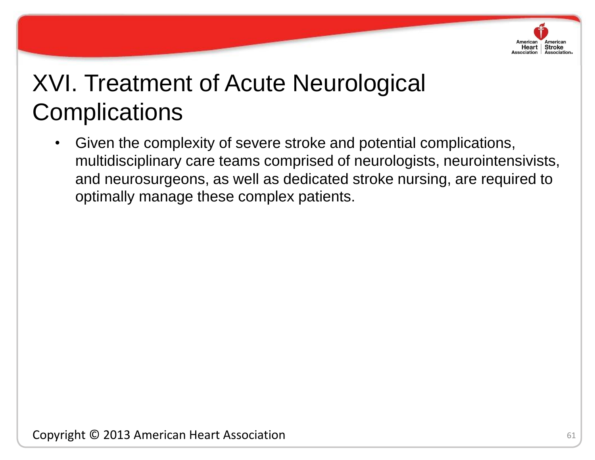

# XVI. Treatment of Acute Neurological **Complications**

• Given the complexity of severe stroke and potential complications, multidisciplinary care teams comprised of neurologists, neurointensivists, and neurosurgeons, as well as dedicated stroke nursing, are required to optimally manage these complex patients.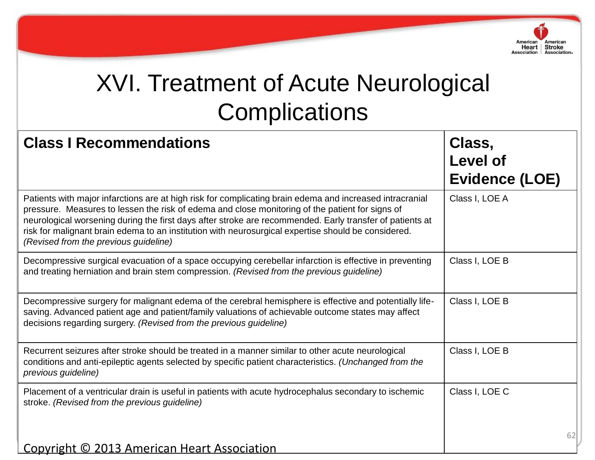

# XVI. Treatment of Acute Neurological **Complications**

| <b>Class I Recommendations</b>                                                                                                                                                                                                                                                                                                                                                                                                                                          | Class,<br><b>Level of</b><br><b>Evidence (LOE)</b> |
|-------------------------------------------------------------------------------------------------------------------------------------------------------------------------------------------------------------------------------------------------------------------------------------------------------------------------------------------------------------------------------------------------------------------------------------------------------------------------|----------------------------------------------------|
| Patients with major infarctions are at high risk for complicating brain edema and increased intracranial<br>pressure. Measures to lessen the risk of edema and close monitoring of the patient for signs of<br>neurological worsening during the first days after stroke are recommended. Early transfer of patients at<br>risk for malignant brain edema to an institution with neurosurgical expertise should be considered.<br>(Revised from the previous guideline) | Class I, LOE A                                     |
| Decompressive surgical evacuation of a space occupying cerebellar infarction is effective in preventing<br>and treating herniation and brain stem compression. (Revised from the previous guideline)                                                                                                                                                                                                                                                                    | Class I, LOE B                                     |
| Decompressive surgery for malignant edema of the cerebral hemisphere is effective and potentially life-<br>saving. Advanced patient age and patient/family valuations of achievable outcome states may affect<br>decisions regarding surgery. (Revised from the previous guideline)                                                                                                                                                                                     | Class I, LOE B                                     |
| Recurrent seizures after stroke should be treated in a manner similar to other acute neurological<br>conditions and anti-epileptic agents selected by specific patient characteristics. (Unchanged from the<br>previous guideline)                                                                                                                                                                                                                                      | Class I, LOE B                                     |
| Placement of a ventricular drain is useful in patients with acute hydrocephalus secondary to ischemic<br>stroke. (Revised from the previous guideline)                                                                                                                                                                                                                                                                                                                  | Class I, LOE C                                     |
| Copyright © 2013 American Heart Association                                                                                                                                                                                                                                                                                                                                                                                                                             | 62                                                 |